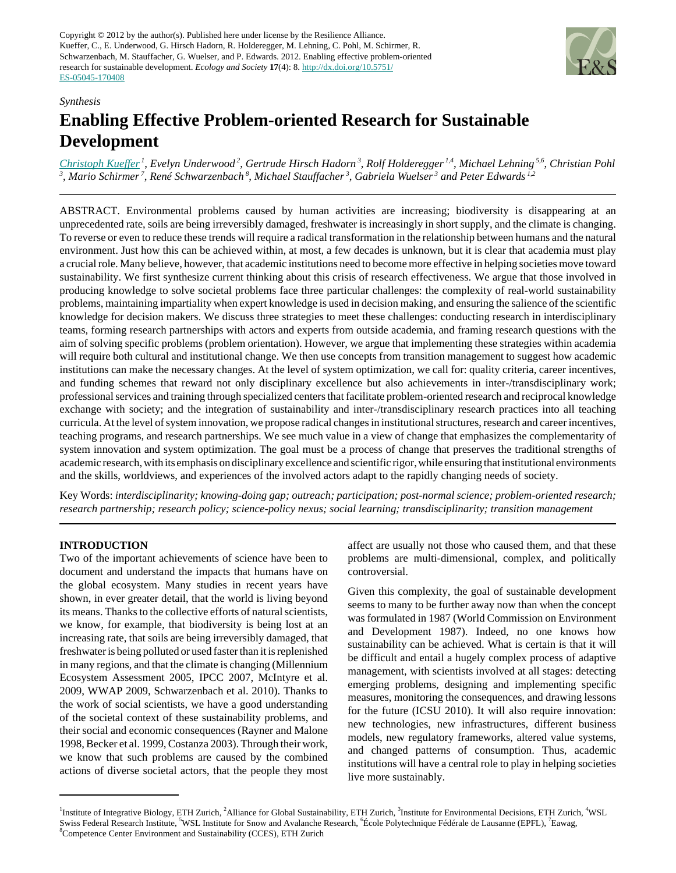Copyright © 2012 by the author(s). Published here under license by the Resilience Alliance. Kueffer, C., E. Underwood, G. Hirsch Hadorn, R. Holderegger, M. Lehning, C. Pohl, M. Schirmer, R. Schwarzenbach, M. Stauffacher, G. Wuelser, and P. Edwards. 2012. Enabling effective problem-oriented research for sustainable development. *Ecology and Society* **17**(4): 8. [http://dx.doi.org/10.5751/](http://dx.doi.org/10.5751/ES-05045-170408) [ES-05045-170408](http://dx.doi.org/10.5751/ES-05045-170408)



#### *Synthesis*

# **Enabling Effective Problem-oriented Research for Sustainable Development**

*[Christoph Kueffer](mailto:kueffer@env.ethz.ch)<sup>1</sup>* , *Evelyn Underwood<sup>2</sup>* , *Gertrude Hirsch Hadorn<sup>3</sup>* , *Rolf Holderegger 1,4* , *Michael Lehning 5,6* , *Christian Pohl 3* , *Mario Schirmer<sup>7</sup>* , *René Schwarzenbach<sup>8</sup>* , *Michael Stauffacher<sup>3</sup>* , *Gabriela Wuelser<sup>3</sup> and Peter Edwards 1,2*

ABSTRACT. Environmental problems caused by human activities are increasing; biodiversity is disappearing at an unprecedented rate, soils are being irreversibly damaged, freshwater is increasingly in short supply, and the climate is changing. To reverse or even to reduce these trends will require a radical transformation in the relationship between humans and the natural environment. Just how this can be achieved within, at most, a few decades is unknown, but it is clear that academia must play a crucial role. Many believe, however, that academic institutions need to become more effective in helping societies move toward sustainability. We first synthesize current thinking about this crisis of research effectiveness. We argue that those involved in producing knowledge to solve societal problems face three particular challenges: the complexity of real-world sustainability problems, maintaining impartiality when expert knowledge is used in decision making, and ensuring the salience of the scientific knowledge for decision makers. We discuss three strategies to meet these challenges: conducting research in interdisciplinary teams, forming research partnerships with actors and experts from outside academia, and framing research questions with the aim of solving specific problems (problem orientation). However, we argue that implementing these strategies within academia will require both cultural and institutional change. We then use concepts from transition management to suggest how academic institutions can make the necessary changes. At the level of system optimization, we call for: quality criteria, career incentives, and funding schemes that reward not only disciplinary excellence but also achievements in inter-/transdisciplinary work; professional services and training through specialized centers that facilitate problem-oriented research and reciprocal knowledge exchange with society; and the integration of sustainability and inter-/transdisciplinary research practices into all teaching curricula. At the level of system innovation, we propose radical changes in institutional structures, research and career incentives, teaching programs, and research partnerships. We see much value in a view of change that emphasizes the complementarity of system innovation and system optimization. The goal must be a process of change that preserves the traditional strengths of academic research, with its emphasis on disciplinary excellence and scientific rigor, while ensuring that institutional environments and the skills, worldviews, and experiences of the involved actors adapt to the rapidly changing needs of society.

Key Words: *interdisciplinarity; knowing-doing gap; outreach; participation; post-normal science; problem-oriented research; research partnership; research policy; science-policy nexus; social learning; transdisciplinarity; transition management*

#### **INTRODUCTION**

Two of the important achievements of science have been to document and understand the impacts that humans have on the global ecosystem. Many studies in recent years have shown, in ever greater detail, that the world is living beyond its means. Thanks to the collective efforts of natural scientists, we know, for example, that biodiversity is being lost at an increasing rate, that soils are being irreversibly damaged, that freshwater is being polluted or used faster than it is replenished in many regions, and that the climate is changing (Millennium Ecosystem Assessment 2005, IPCC 2007, McIntyre et al. 2009, WWAP 2009, Schwarzenbach et al. 2010). Thanks to the work of social scientists, we have a good understanding of the societal context of these sustainability problems, and their social and economic consequences (Rayner and Malone 1998, Becker et al. 1999, Costanza 2003). Through their work, we know that such problems are caused by the combined actions of diverse societal actors, that the people they most affect are usually not those who caused them, and that these problems are multi-dimensional, complex, and politically controversial.

Given this complexity, the goal of sustainable development seems to many to be further away now than when the concept was formulated in 1987 (World Commission on Environment and Development 1987). Indeed, no one knows how sustainability can be achieved. What is certain is that it will be difficult and entail a hugely complex process of adaptive management, with scientists involved at all stages: detecting emerging problems, designing and implementing specific measures, monitoring the consequences, and drawing lessons for the future (ICSU 2010). It will also require innovation: new technologies, new infrastructures, different business models, new regulatory frameworks, altered value systems, and changed patterns of consumption. Thus, academic institutions will have a central role to play in helping societies live more sustainably.

<sup>&</sup>lt;sup>1</sup>Institute of Integrative Biology, ETH Zurich, <sup>2</sup>Alliance for Global Sustainability, ETH Zurich, <sup>3</sup>Institute for Environmental Decisions, ETH Zurich, <sup>4</sup>WSL Swiss Federal Research Institute, <sup>5</sup>WSL Institute for Snow and Avalanche Research, <sup>6</sup>École Polytechnique Fédérale de Lausanne (EPFL), <sup>7</sup>Eawag, <sup>8</sup>Competence Center Environment and Sustainability (CCES), ETH Zurich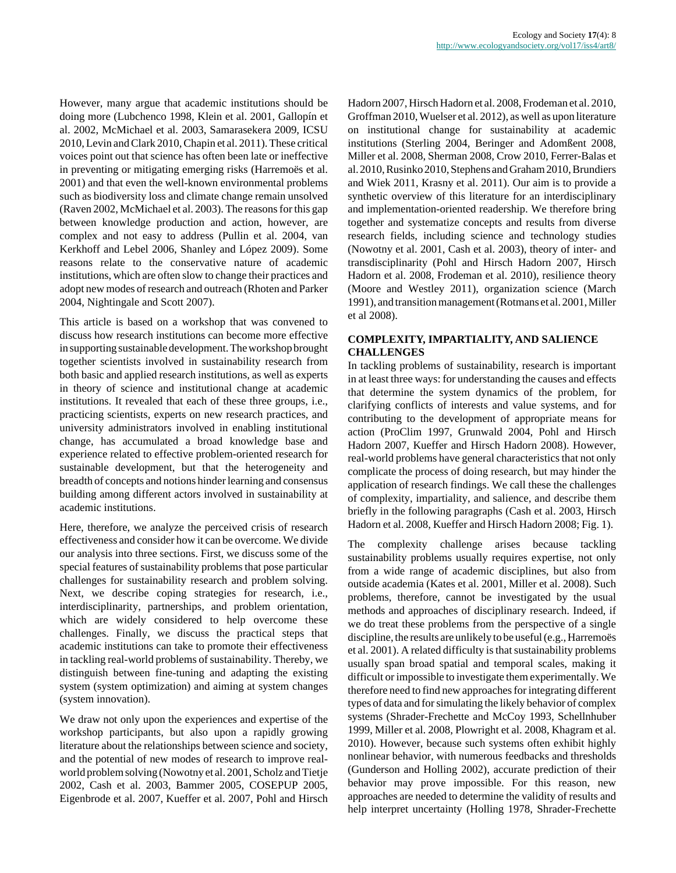However, many argue that academic institutions should be doing more (Lubchenco 1998, Klein et al. 2001, Gallopín et al. 2002, McMichael et al. 2003, Samarasekera 2009, ICSU 2010, Levin and Clark 2010, Chapin et al. 2011). These critical voices point out that science has often been late or ineffective in preventing or mitigating emerging risks (Harremoës et al. 2001) and that even the well-known environmental problems such as biodiversity loss and climate change remain unsolved (Raven 2002, McMichael et al. 2003). The reasons for this gap between knowledge production and action, however, are complex and not easy to address (Pullin et al. 2004, van Kerkhoff and Lebel 2006, Shanley and López 2009). Some reasons relate to the conservative nature of academic institutions, which are often slow to change their practices and adopt new modes of research and outreach (Rhoten and Parker 2004, Nightingale and Scott 2007).

This article is based on a workshop that was convened to discuss how research institutions can become more effective in supporting sustainable development. The workshop brought together scientists involved in sustainability research from both basic and applied research institutions, as well as experts in theory of science and institutional change at academic institutions. It revealed that each of these three groups, i.e., practicing scientists, experts on new research practices, and university administrators involved in enabling institutional change, has accumulated a broad knowledge base and experience related to effective problem-oriented research for sustainable development, but that the heterogeneity and breadth of concepts and notions hinder learning and consensus building among different actors involved in sustainability at academic institutions.

Here, therefore, we analyze the perceived crisis of research effectiveness and consider how it can be overcome. We divide our analysis into three sections. First, we discuss some of the special features of sustainability problems that pose particular challenges for sustainability research and problem solving. Next, we describe coping strategies for research, i.e., interdisciplinarity, partnerships, and problem orientation, which are widely considered to help overcome these challenges. Finally, we discuss the practical steps that academic institutions can take to promote their effectiveness in tackling real-world problems of sustainability. Thereby, we distinguish between fine-tuning and adapting the existing system (system optimization) and aiming at system changes (system innovation).

We draw not only upon the experiences and expertise of the workshop participants, but also upon a rapidly growing literature about the relationships between science and society, and the potential of new modes of research to improve realworld problem solving (Nowotny et al. 2001, Scholz and Tietje 2002, Cash et al. 2003, Bammer 2005, COSEPUP 2005, Eigenbrode et al. 2007, Kueffer et al. 2007, Pohl and Hirsch Hadorn 2007, Hirsch Hadorn et al. 2008, Frodeman et al. 2010, Groffman 2010, Wuelser et al. 2012), as well as upon literature on institutional change for sustainability at academic institutions (Sterling 2004, Beringer and Adomßent 2008, Miller et al. 2008, Sherman 2008, Crow 2010, Ferrer-Balas et al. 2010, Rusinko 2010, Stephens and Graham 2010, Brundiers and Wiek 2011, Krasny et al. 2011). Our aim is to provide a synthetic overview of this literature for an interdisciplinary and implementation-oriented readership. We therefore bring together and systematize concepts and results from diverse research fields, including science and technology studies (Nowotny et al. 2001, Cash et al. 2003), theory of inter- and transdisciplinarity (Pohl and Hirsch Hadorn 2007, Hirsch Hadorn et al. 2008, Frodeman et al. 2010), resilience theory (Moore and Westley 2011), organization science (March 1991), and transition management (Rotmans et al. 2001, Miller et al 2008).

# **COMPLEXITY, IMPARTIALITY, AND SALIENCE CHALLENGES**

In tackling problems of sustainability, research is important in at least three ways: for understanding the causes and effects that determine the system dynamics of the problem, for clarifying conflicts of interests and value systems, and for contributing to the development of appropriate means for action (ProClim 1997, Grunwald 2004, Pohl and Hirsch Hadorn 2007, Kueffer and Hirsch Hadorn 2008). However, real-world problems have general characteristics that not only complicate the process of doing research, but may hinder the application of research findings. We call these the challenges of complexity, impartiality, and salience, and describe them briefly in the following paragraphs (Cash et al. 2003, Hirsch Hadorn et al. 2008, Kueffer and Hirsch Hadorn 2008; Fig. 1).

The complexity challenge arises because tackling sustainability problems usually requires expertise, not only from a wide range of academic disciplines, but also from outside academia (Kates et al. 2001, Miller et al. 2008). Such problems, therefore, cannot be investigated by the usual methods and approaches of disciplinary research. Indeed, if we do treat these problems from the perspective of a single discipline, the results are unlikely to be useful (e.g., Harremoës et al. 2001). A related difficulty is that sustainability problems usually span broad spatial and temporal scales, making it difficult or impossible to investigate them experimentally. We therefore need to find new approaches for integrating different types of data and for simulating the likely behavior of complex systems (Shrader-Frechette and McCoy 1993, Schellnhuber 1999, Miller et al. 2008, Plowright et al. 2008, Khagram et al. 2010). However, because such systems often exhibit highly nonlinear behavior, with numerous feedbacks and thresholds (Gunderson and Holling 2002), accurate prediction of their behavior may prove impossible. For this reason, new approaches are needed to determine the validity of results and help interpret uncertainty (Holling 1978, Shrader-Frechette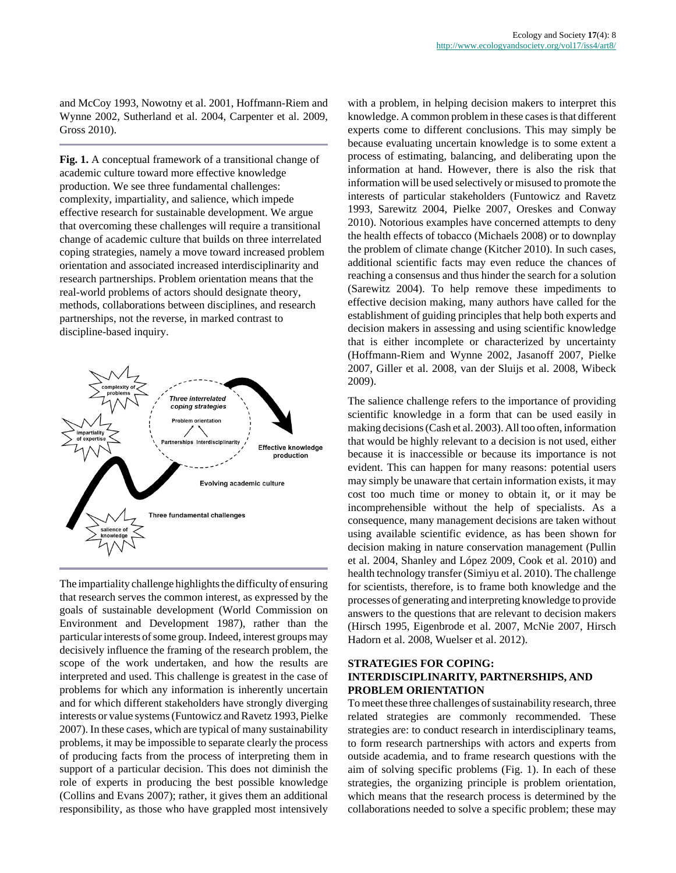and McCoy 1993, Nowotny et al. 2001, Hoffmann-Riem and Wynne 2002, Sutherland et al. 2004, Carpenter et al. 2009, Gross 2010).

**Fig. 1.** A conceptual framework of a transitional change of academic culture toward more effective knowledge production. We see three fundamental challenges: complexity, impartiality, and salience, which impede effective research for sustainable development. We argue that overcoming these challenges will require a transitional change of academic culture that builds on three interrelated coping strategies, namely a move toward increased problem orientation and associated increased interdisciplinarity and research partnerships. Problem orientation means that the real-world problems of actors should designate theory, methods, collaborations between disciplines, and research partnerships, not the reverse, in marked contrast to discipline-based inquiry.



The impartiality challenge highlights the difficulty of ensuring that research serves the common interest, as expressed by the goals of sustainable development (World Commission on Environment and Development 1987), rather than the particular interests of some group. Indeed, interest groups may decisively influence the framing of the research problem, the scope of the work undertaken, and how the results are interpreted and used. This challenge is greatest in the case of problems for which any information is inherently uncertain and for which different stakeholders have strongly diverging interests or value systems (Funtowicz and Ravetz 1993, Pielke 2007). In these cases, which are typical of many sustainability problems, it may be impossible to separate clearly the process of producing facts from the process of interpreting them in support of a particular decision. This does not diminish the role of experts in producing the best possible knowledge (Collins and Evans 2007); rather, it gives them an additional responsibility, as those who have grappled most intensively with a problem, in helping decision makers to interpret this knowledge. A common problem in these cases is that different experts come to different conclusions. This may simply be because evaluating uncertain knowledge is to some extent a process of estimating, balancing, and deliberating upon the information at hand. However, there is also the risk that information will be used selectively or misused to promote the interests of particular stakeholders (Funtowicz and Ravetz 1993, Sarewitz 2004, Pielke 2007, Oreskes and Conway 2010). Notorious examples have concerned attempts to deny the health effects of tobacco (Michaels 2008) or to downplay the problem of climate change (Kitcher 2010). In such cases, additional scientific facts may even reduce the chances of reaching a consensus and thus hinder the search for a solution (Sarewitz 2004). To help remove these impediments to effective decision making, many authors have called for the establishment of guiding principles that help both experts and decision makers in assessing and using scientific knowledge that is either incomplete or characterized by uncertainty (Hoffmann-Riem and Wynne 2002, Jasanoff 2007, Pielke 2007, Giller et al. 2008, van der Sluijs et al. 2008, Wibeck 2009).

The salience challenge refers to the importance of providing scientific knowledge in a form that can be used easily in making decisions (Cash et al. 2003). All too often, information that would be highly relevant to a decision is not used, either because it is inaccessible or because its importance is not evident. This can happen for many reasons: potential users may simply be unaware that certain information exists, it may cost too much time or money to obtain it, or it may be incomprehensible without the help of specialists. As a consequence, many management decisions are taken without using available scientific evidence, as has been shown for decision making in nature conservation management (Pullin et al. 2004, Shanley and López 2009, Cook et al. 2010) and health technology transfer (Simiyu et al. 2010). The challenge for scientists, therefore, is to frame both knowledge and the processes of generating and interpreting knowledge to provide answers to the questions that are relevant to decision makers (Hirsch 1995, Eigenbrode et al. 2007, McNie 2007, Hirsch Hadorn et al. 2008, Wuelser et al. 2012).

# **STRATEGIES FOR COPING: INTERDISCIPLINARITY, PARTNERSHIPS, AND PROBLEM ORIENTATION**

To meet these three challenges of sustainability research, three related strategies are commonly recommended. These strategies are: to conduct research in interdisciplinary teams, to form research partnerships with actors and experts from outside academia, and to frame research questions with the aim of solving specific problems (Fig. 1). In each of these strategies, the organizing principle is problem orientation, which means that the research process is determined by the collaborations needed to solve a specific problem; these may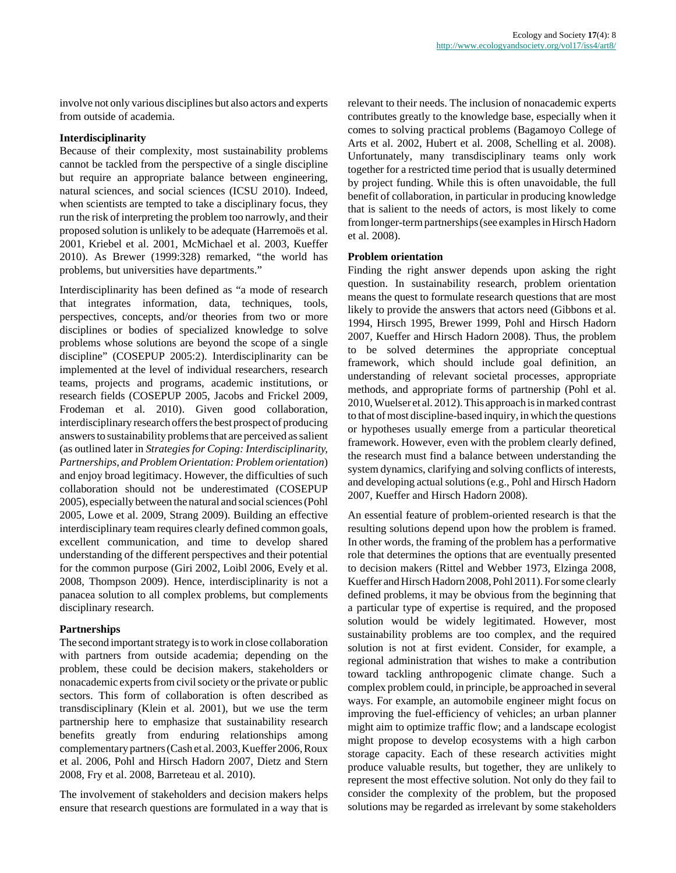involve not only various disciplines but also actors and experts from outside of academia.

## **Interdisciplinarity**

Because of their complexity, most sustainability problems cannot be tackled from the perspective of a single discipline but require an appropriate balance between engineering, natural sciences, and social sciences (ICSU 2010). Indeed, when scientists are tempted to take a disciplinary focus, they run the risk of interpreting the problem too narrowly, and their proposed solution is unlikely to be adequate (Harremoës et al. 2001, Kriebel et al. 2001, McMichael et al. 2003, Kueffer 2010). As Brewer (1999:328) remarked, "the world has problems, but universities have departments."

Interdisciplinarity has been defined as "a mode of research that integrates information, data, techniques, tools, perspectives, concepts, and/or theories from two or more disciplines or bodies of specialized knowledge to solve problems whose solutions are beyond the scope of a single discipline" (COSEPUP 2005:2). Interdisciplinarity can be implemented at the level of individual researchers, research teams, projects and programs, academic institutions, or research fields (COSEPUP 2005, Jacobs and Frickel 2009, Frodeman et al. 2010). Given good collaboration, interdisciplinary research offers the best prospect of producing answers to sustainability problems that are perceived as salient (as outlined later in *Strategies for Coping: Interdisciplinarity, Partnerships, and Problem Orientation: Problem orientation*) and enjoy broad legitimacy. However, the difficulties of such collaboration should not be underestimated (COSEPUP 2005), especially between the natural and social sciences (Pohl 2005, Lowe et al. 2009, Strang 2009). Building an effective interdisciplinary team requires clearly defined common goals, excellent communication, and time to develop shared understanding of the different perspectives and their potential for the common purpose (Giri 2002, Loibl 2006, Evely et al. 2008, Thompson 2009). Hence, interdisciplinarity is not a panacea solution to all complex problems, but complements disciplinary research.

# **Partnerships**

The second important strategy is to work in close collaboration with partners from outside academia; depending on the problem, these could be decision makers, stakeholders or nonacademic experts from civil society or the private or public sectors. This form of collaboration is often described as transdisciplinary (Klein et al. 2001), but we use the term partnership here to emphasize that sustainability research benefits greatly from enduring relationships among complementary partners (Cash et al. 2003, Kueffer 2006, Roux et al. 2006, Pohl and Hirsch Hadorn 2007, Dietz and Stern 2008, Fry et al. 2008, Barreteau et al. 2010).

The involvement of stakeholders and decision makers helps ensure that research questions are formulated in a way that is relevant to their needs. The inclusion of nonacademic experts contributes greatly to the knowledge base, especially when it comes to solving practical problems (Bagamoyo College of Arts et al. 2002, Hubert et al. 2008, Schelling et al. 2008). Unfortunately, many transdisciplinary teams only work together for a restricted time period that is usually determined by project funding. While this is often unavoidable, the full benefit of collaboration, in particular in producing knowledge that is salient to the needs of actors, is most likely to come from longer-term partnerships (see examples in Hirsch Hadorn et al. 2008).

## **Problem orientation**

Finding the right answer depends upon asking the right question. In sustainability research, problem orientation means the quest to formulate research questions that are most likely to provide the answers that actors need (Gibbons et al. 1994, Hirsch 1995, Brewer 1999, Pohl and Hirsch Hadorn 2007, Kueffer and Hirsch Hadorn 2008). Thus, the problem to be solved determines the appropriate conceptual framework, which should include goal definition, an understanding of relevant societal processes, appropriate methods, and appropriate forms of partnership (Pohl et al. 2010, Wuelser et al. 2012). This approach is in marked contrast to that of most discipline-based inquiry, in which the questions or hypotheses usually emerge from a particular theoretical framework. However, even with the problem clearly defined, the research must find a balance between understanding the system dynamics, clarifying and solving conflicts of interests, and developing actual solutions (e.g., Pohl and Hirsch Hadorn 2007, Kueffer and Hirsch Hadorn 2008).

An essential feature of problem-oriented research is that the resulting solutions depend upon how the problem is framed. In other words, the framing of the problem has a performative role that determines the options that are eventually presented to decision makers (Rittel and Webber 1973, Elzinga 2008, Kueffer and Hirsch Hadorn 2008, Pohl 2011). For some clearly defined problems, it may be obvious from the beginning that a particular type of expertise is required, and the proposed solution would be widely legitimated. However, most sustainability problems are too complex, and the required solution is not at first evident. Consider, for example, a regional administration that wishes to make a contribution toward tackling anthropogenic climate change. Such a complex problem could, in principle, be approached in several ways. For example, an automobile engineer might focus on improving the fuel-efficiency of vehicles; an urban planner might aim to optimize traffic flow; and a landscape ecologist might propose to develop ecosystems with a high carbon storage capacity. Each of these research activities might produce valuable results, but together, they are unlikely to represent the most effective solution. Not only do they fail to consider the complexity of the problem, but the proposed solutions may be regarded as irrelevant by some stakeholders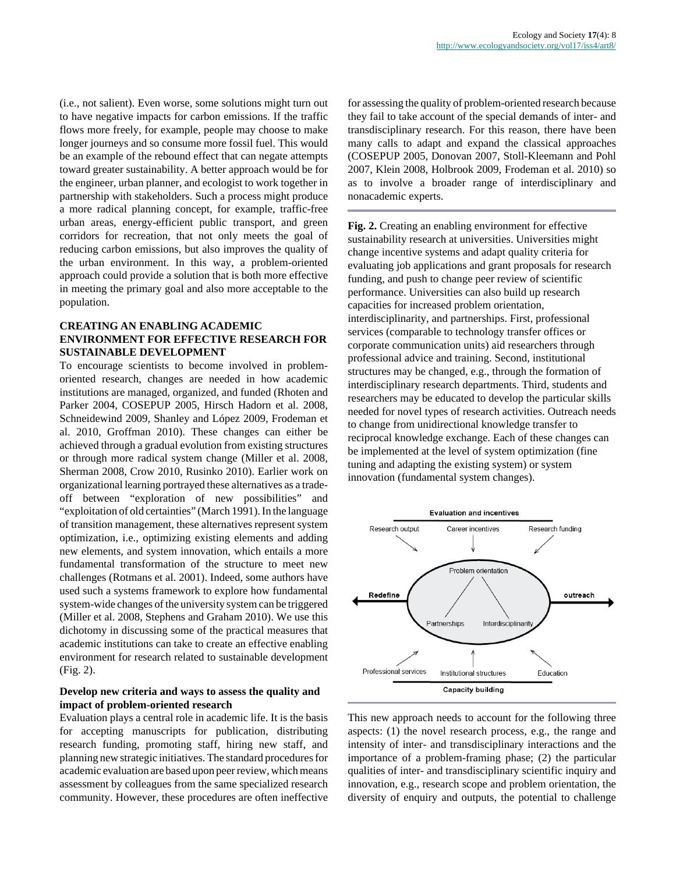(i.e., not salient). Even worse, some solutions might turn out to have negative impacts for carbon emissions. If the traffic flows more freely, for example, people may choose to make longer journeys and so consume more fossil fuel. This would be an example of the rebound effect that can negate attempts toward greater sustainability. A better approach would be for the engineer, urban planner, and ecologist to work together in partnership with stakeholders. Such a process might produce a more radical planning concept, for example, traffic-free urban areas, energy-efficient public transport, and green corridors for recreation, that not only meets the goal of reducing carbon emissions, but also improves the quality of the urban environment. In this way, a problem-oriented approach could provide a solution that is both more effective in meeting the primary goal and also more acceptable to the population.

## **CREATING AN ENABLING ACADEMIC ENVIRONMENT FOR EFFECTIVE RESEARCH FOR SUSTAINABLE DEVELOPMENT**

To encourage scientists to become involved in problemoriented research, changes are needed in how academic institutions are managed, organized, and funded (Rhoten and Parker 2004, COSEPUP 2005, Hirsch Hadorn et al. 2008, Schneidewind 2009, Shanley and López 2009, Frodeman et al. 2010, Groffman 2010). These changes can either be achieved through a gradual evolution from existing structures or through more radical system change (Miller et al. 2008, Sherman 2008, Crow 2010, Rusinko 2010). Earlier work on organizational learning portrayed these alternatives as a tradeoff between "exploration of new possibilities" and "exploitation of old certainties" (March 1991). In the language of transition management, these alternatives represent system optimization, i.e., optimizing existing elements and adding new elements, and system innovation, which entails a more fundamental transformation of the structure to meet new challenges (Rotmans et al. 2001). Indeed, some authors have used such a systems framework to explore how fundamental system-wide changes of the university system can be triggered (Miller et al. 2008, Stephens and Graham 2010). We use this dichotomy in discussing some of the practical measures that academic institutions can take to create an effective enabling environment for research related to sustainable development (Fig. 2).

## **Develop new criteria and ways to assess the quality and impact of problem-oriented research**

Evaluation plays a central role in academic life. It is the basis for accepting manuscripts for publication, distributing research funding, promoting staff, hiring new staff, and planning new strategic initiatives. The standard procedures for academic evaluation are based upon peer review, which means assessment by colleagues from the same specialized research community. However, these procedures are often ineffective for assessing the quality of problem-oriented research because they fail to take account of the special demands of inter- and transdisciplinary research. For this reason, there have been many calls to adapt and expand the classical approaches (COSEPUP 2005, Donovan 2007, Stoll-Kleemann and Pohl 2007, Klein 2008, Holbrook 2009, Frodeman et al. 2010) so as to involve a broader range of interdisciplinary and nonacademic experts.

**Fig. 2.** Creating an enabling environment for effective sustainability research at universities. Universities might change incentive systems and adapt quality criteria for evaluating job applications and grant proposals for research funding, and push to change peer review of scientific performance. Universities can also build up research capacities for increased problem orientation, interdisciplinarity, and partnerships. First, professional services (comparable to technology transfer offices or corporate communication units) aid researchers through professional advice and training. Second, institutional structures may be changed, e.g., through the formation of interdisciplinary research departments. Third, students and researchers may be educated to develop the particular skills needed for novel types of research activities. Outreach needs to change from unidirectional knowledge transfer to reciprocal knowledge exchange. Each of these changes can be implemented at the level of system optimization (fine tuning and adapting the existing system) or system innovation (fundamental system changes).



This new approach needs to account for the following three aspects: (1) the novel research process, e.g., the range and intensity of inter- and transdisciplinary interactions and the importance of a problem-framing phase; (2) the particular qualities of inter- and transdisciplinary scientific inquiry and innovation, e.g., research scope and problem orientation, the diversity of enquiry and outputs, the potential to challenge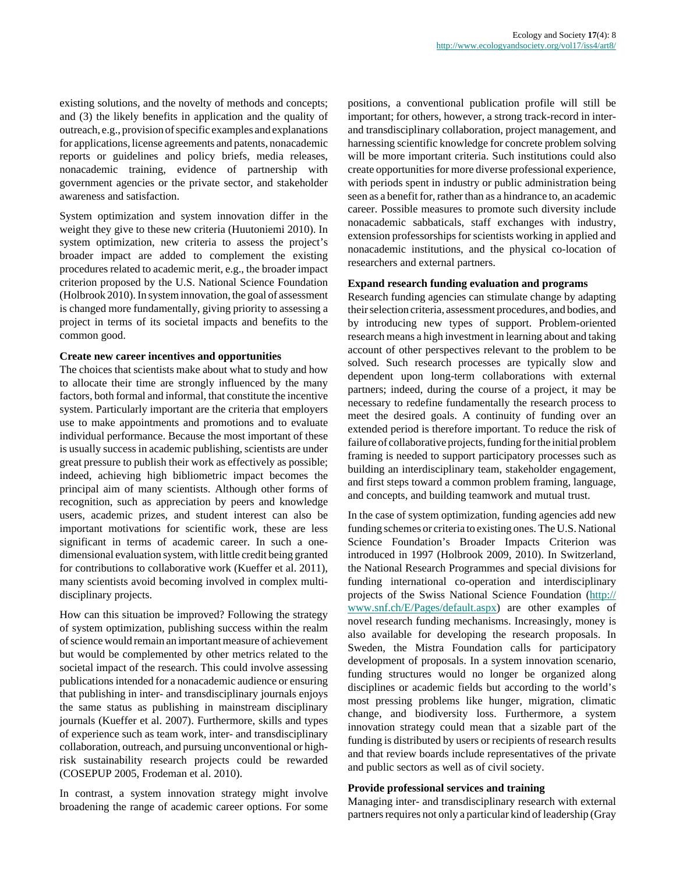existing solutions, and the novelty of methods and concepts; and (3) the likely benefits in application and the quality of outreach, e.g., provision of specific examples and explanations for applications, license agreements and patents, nonacademic reports or guidelines and policy briefs, media releases, nonacademic training, evidence of partnership with government agencies or the private sector, and stakeholder awareness and satisfaction.

System optimization and system innovation differ in the weight they give to these new criteria (Huutoniemi 2010). In system optimization, new criteria to assess the project's broader impact are added to complement the existing procedures related to academic merit, e.g., the broader impact criterion proposed by the U.S. National Science Foundation (Holbrook 2010). In system innovation, the goal of assessment is changed more fundamentally, giving priority to assessing a project in terms of its societal impacts and benefits to the common good.

#### **Create new career incentives and opportunities**

The choices that scientists make about what to study and how to allocate their time are strongly influenced by the many factors, both formal and informal, that constitute the incentive system. Particularly important are the criteria that employers use to make appointments and promotions and to evaluate individual performance. Because the most important of these is usually success in academic publishing, scientists are under great pressure to publish their work as effectively as possible; indeed, achieving high bibliometric impact becomes the principal aim of many scientists. Although other forms of recognition, such as appreciation by peers and knowledge users, academic prizes, and student interest can also be important motivations for scientific work, these are less significant in terms of academic career. In such a onedimensional evaluation system, with little credit being granted for contributions to collaborative work (Kueffer et al. 2011), many scientists avoid becoming involved in complex multidisciplinary projects.

How can this situation be improved? Following the strategy of system optimization, publishing success within the realm of science would remain an important measure of achievement but would be complemented by other metrics related to the societal impact of the research. This could involve assessing publications intended for a nonacademic audience or ensuring that publishing in inter- and transdisciplinary journals enjoys the same status as publishing in mainstream disciplinary journals (Kueffer et al. 2007). Furthermore, skills and types of experience such as team work, inter- and transdisciplinary collaboration, outreach, and pursuing unconventional or highrisk sustainability research projects could be rewarded (COSEPUP 2005, Frodeman et al. 2010).

In contrast, a system innovation strategy might involve broadening the range of academic career options. For some positions, a conventional publication profile will still be important; for others, however, a strong track-record in interand transdisciplinary collaboration, project management, and harnessing scientific knowledge for concrete problem solving will be more important criteria. Such institutions could also create opportunities for more diverse professional experience, with periods spent in industry or public administration being seen as a benefit for, rather than as a hindrance to, an academic career. Possible measures to promote such diversity include nonacademic sabbaticals, staff exchanges with industry, extension professorships for scientists working in applied and nonacademic institutions, and the physical co-location of researchers and external partners.

#### **Expand research funding evaluation and programs**

Research funding agencies can stimulate change by adapting their selection criteria, assessment procedures, and bodies, and by introducing new types of support. Problem-oriented research means a high investment in learning about and taking account of other perspectives relevant to the problem to be solved. Such research processes are typically slow and dependent upon long-term collaborations with external partners; indeed, during the course of a project, it may be necessary to redefine fundamentally the research process to meet the desired goals. A continuity of funding over an extended period is therefore important. To reduce the risk of failure of collaborative projects, funding for the initial problem framing is needed to support participatory processes such as building an interdisciplinary team, stakeholder engagement, and first steps toward a common problem framing, language, and concepts, and building teamwork and mutual trust.

In the case of system optimization, funding agencies add new funding schemes or criteria to existing ones. The U.S. National Science Foundation's Broader Impacts Criterion was introduced in 1997 (Holbrook 2009, 2010). In Switzerland, the National Research Programmes and special divisions for funding international co-operation and interdisciplinary projects of the Swiss National Science Foundation [\(http://](http://www.snf.ch/E/Pages/default.aspx) [www.snf.ch/E/Pages/default.aspx\)](http://www.snf.ch/E/Pages/default.aspx) are other examples of novel research funding mechanisms. Increasingly, money is also available for developing the research proposals. In Sweden, the Mistra Foundation calls for participatory development of proposals. In a system innovation scenario, funding structures would no longer be organized along disciplines or academic fields but according to the world's most pressing problems like hunger, migration, climatic change, and biodiversity loss. Furthermore, a system innovation strategy could mean that a sizable part of the funding is distributed by users or recipients of research results and that review boards include representatives of the private and public sectors as well as of civil society.

#### **Provide professional services and training**

Managing inter- and transdisciplinary research with external partners requires not only a particular kind of leadership (Gray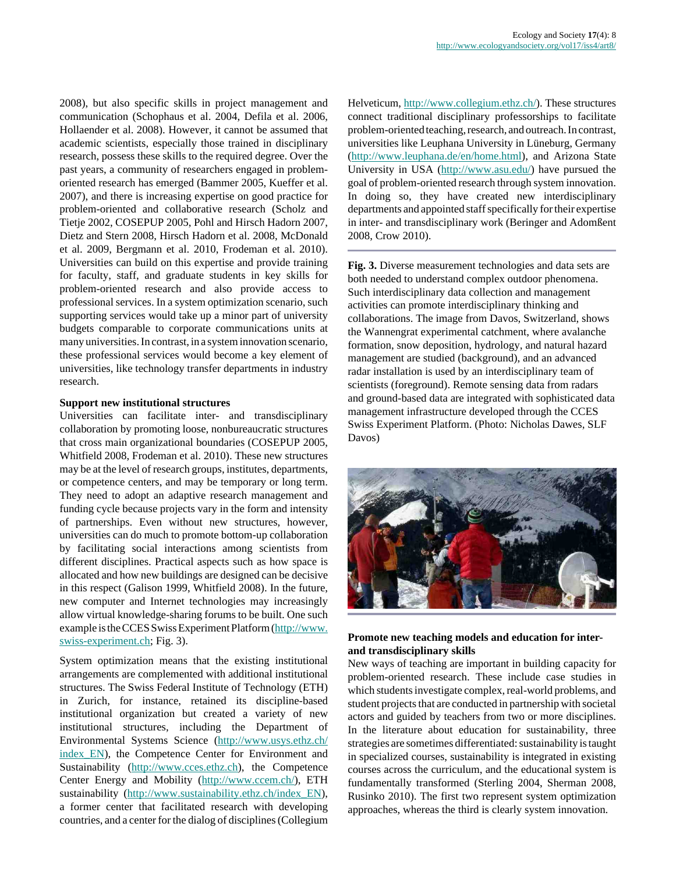2008), but also specific skills in project management and communication (Schophaus et al. 2004, Defila et al. 2006, Hollaender et al. 2008). However, it cannot be assumed that academic scientists, especially those trained in disciplinary research, possess these skills to the required degree. Over the past years, a community of researchers engaged in problemoriented research has emerged (Bammer 2005, Kueffer et al. 2007), and there is increasing expertise on good practice for problem-oriented and collaborative research (Scholz and Tietje 2002, COSEPUP 2005, Pohl and Hirsch Hadorn 2007, Dietz and Stern 2008, Hirsch Hadorn et al. 2008, McDonald et al. 2009, Bergmann et al. 2010, Frodeman et al. 2010). Universities can build on this expertise and provide training for faculty, staff, and graduate students in key skills for problem-oriented research and also provide access to professional services. In a system optimization scenario, such supporting services would take up a minor part of university budgets comparable to corporate communications units at many universities. In contrast, in a system innovation scenario, these professional services would become a key element of universities, like technology transfer departments in industry research.

#### **Support new institutional structures**

Universities can facilitate inter- and transdisciplinary collaboration by promoting loose, nonbureaucratic structures that cross main organizational boundaries (COSEPUP 2005, Whitfield 2008, Frodeman et al. 2010). These new structures may be at the level of research groups, institutes, departments, or competence centers, and may be temporary or long term. They need to adopt an adaptive research management and funding cycle because projects vary in the form and intensity of partnerships. Even without new structures, however, universities can do much to promote bottom-up collaboration by facilitating social interactions among scientists from different disciplines. Practical aspects such as how space is allocated and how new buildings are designed can be decisive in this respect (Galison 1999, Whitfield 2008). In the future, new computer and Internet technologies may increasingly allow virtual knowledge-sharing forums to be built. One such example is the CCES Swiss Experiment Platform ([http://www.](http://www.swiss-experiment.ch) [swiss-experiment.ch;](http://www.swiss-experiment.ch) Fig. 3).

System optimization means that the existing institutional arrangements are complemented with additional institutional structures. The Swiss Federal Institute of Technology (ETH) in Zurich, for instance, retained its discipline-based institutional organization but created a variety of new institutional structures, including the Department of Environmental Systems Science [\(http://www.usys.ethz.ch/](http://www.usys.ethz.ch/index_EN) [index\\_EN\)](http://www.usys.ethz.ch/index_EN), the Competence Center for Environment and Sustainability [\(http://www.cces.ethz.ch](http://www.cces.ethz.ch)), the Competence Center Energy and Mobility ([http://www.ccem.ch/\)](http://www.ccem.ch/), ETH sustainability [\(http://www.sustainability.ethz.ch/index\\_EN](http://www.sustainability.ethz.ch/index_EN)), a former center that facilitated research with developing countries, and a center for the dialog of disciplines (Collegium Helveticum, [http://www.collegium.ethz.ch/\)](http://www.collegium.ethz.ch/). These structures connect traditional disciplinary professorships to facilitate problem-oriented teaching, research, and outreach. In contrast, universities like Leuphana University in Lüneburg, Germany [\(http://www.leuphana.de/en/home.html](http://www.leuphana.de/en/home.html)), and Arizona State University in USA ([http://www.asu.edu/\)](http://www.asu.edu/) have pursued the goal of problem-oriented research through system innovation. In doing so, they have created new interdisciplinary departments and appointed staff specifically for their expertise in inter- and transdisciplinary work (Beringer and Adomßent 2008, Crow 2010).

**Fig. 3.** Diverse measurement technologies and data sets are both needed to understand complex outdoor phenomena. Such interdisciplinary data collection and management activities can promote interdisciplinary thinking and collaborations. The image from Davos, Switzerland, shows the Wannengrat experimental catchment, where avalanche formation, snow deposition, hydrology, and natural hazard management are studied (background), and an advanced radar installation is used by an interdisciplinary team of scientists (foreground). Remote sensing data from radars and ground-based data are integrated with sophisticated data management infrastructure developed through the CCES Swiss Experiment Platform. (Photo: Nicholas Dawes, SLF Davos)



## **Promote new teaching models and education for interand transdisciplinary skills**

New ways of teaching are important in building capacity for problem-oriented research. These include case studies in which students investigate complex, real-world problems, and student projects that are conducted in partnership with societal actors and guided by teachers from two or more disciplines. In the literature about education for sustainability, three strategies are sometimes differentiated: sustainability is taught in specialized courses, sustainability is integrated in existing courses across the curriculum, and the educational system is fundamentally transformed (Sterling 2004, Sherman 2008, Rusinko 2010). The first two represent system optimization approaches, whereas the third is clearly system innovation.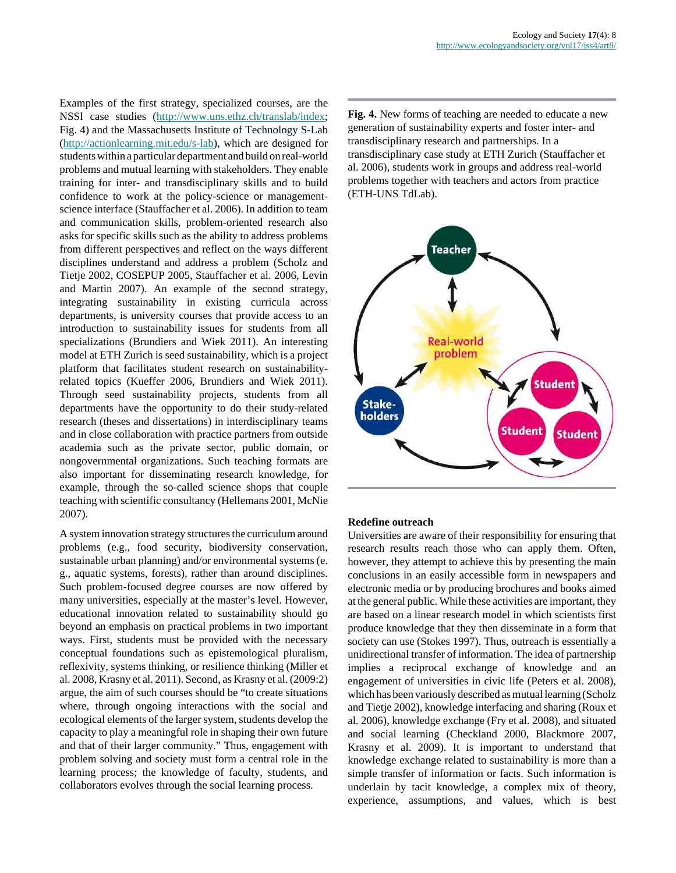Examples of the first strategy, specialized courses, are the NSSI case studies (<http://www.uns.ethz.ch/translab/index>; Fig. 4) and the Massachusetts Institute of Technology S-Lab [\(http://actionlearning.mit.edu/s-lab](http://actionlearning.mit.edu/s-lab)), which are designed for students within a particular department and build on real-world problems and mutual learning with stakeholders. They enable training for inter- and transdisciplinary skills and to build confidence to work at the policy-science or managementscience interface (Stauffacher et al. 2006). In addition to team and communication skills, problem-oriented research also asks for specific skills such as the ability to address problems from different perspectives and reflect on the ways different disciplines understand and address a problem (Scholz and Tietje 2002, COSEPUP 2005, Stauffacher et al. 2006, Levin and Martin 2007). An example of the second strategy, integrating sustainability in existing curricula across departments, is university courses that provide access to an introduction to sustainability issues for students from all specializations (Brundiers and Wiek 2011). An interesting model at ETH Zurich is seed sustainability, which is a project platform that facilitates student research on sustainabilityrelated topics (Kueffer 2006, Brundiers and Wiek 2011). Through seed sustainability projects, students from all departments have the opportunity to do their study-related research (theses and dissertations) in interdisciplinary teams and in close collaboration with practice partners from outside academia such as the private sector, public domain, or nongovernmental organizations. Such teaching formats are also important for disseminating research knowledge, for example, through the so-called science shops that couple teaching with scientific consultancy (Hellemans 2001, McNie 2007).

A system innovation strategy structures the curriculum around problems (e.g., food security, biodiversity conservation, sustainable urban planning) and/or environmental systems (e. g., aquatic systems, forests), rather than around disciplines. Such problem-focused degree courses are now offered by many universities, especially at the master's level. However, educational innovation related to sustainability should go beyond an emphasis on practical problems in two important ways. First, students must be provided with the necessary conceptual foundations such as epistemological pluralism, reflexivity, systems thinking, or resilience thinking (Miller et al. 2008, Krasny et al. 2011). Second, as Krasny et al. (2009:2) argue, the aim of such courses should be "to create situations where, through ongoing interactions with the social and ecological elements of the larger system, students develop the capacity to play a meaningful role in shaping their own future and that of their larger community." Thus, engagement with problem solving and society must form a central role in the learning process; the knowledge of faculty, students, and collaborators evolves through the social learning process.

**Fig. 4.** New forms of teaching are needed to educate a new generation of sustainability experts and foster inter- and transdisciplinary research and partnerships. In a transdisciplinary case study at ETH Zurich (Stauffacher et al. 2006), students work in groups and address real-world problems together with teachers and actors from practice (ETH-UNS TdLab).



#### **Redefine outreach**

Universities are aware of their responsibility for ensuring that research results reach those who can apply them. Often, however, they attempt to achieve this by presenting the main conclusions in an easily accessible form in newspapers and electronic media or by producing brochures and books aimed at the general public. While these activities are important, they are based on a linear research model in which scientists first produce knowledge that they then disseminate in a form that society can use (Stokes 1997). Thus, outreach is essentially a unidirectional transfer of information. The idea of partnership implies a reciprocal exchange of knowledge and an engagement of universities in civic life (Peters et al. 2008), which has been variously described as mutual learning (Scholz and Tietie 2002), knowledge interfacing and sharing (Roux et al. 2006), knowledge exchange (Fry et al. 2008), and situated and social learning (Checkland 2000, Blackmore 2007, Krasny et al. 2009). It is important to understand that knowledge exchange related to sustainability is more than a simple transfer of information or facts. Such information is underlain by tacit knowledge, a complex mix of theory, experience, assumptions, and values, which is best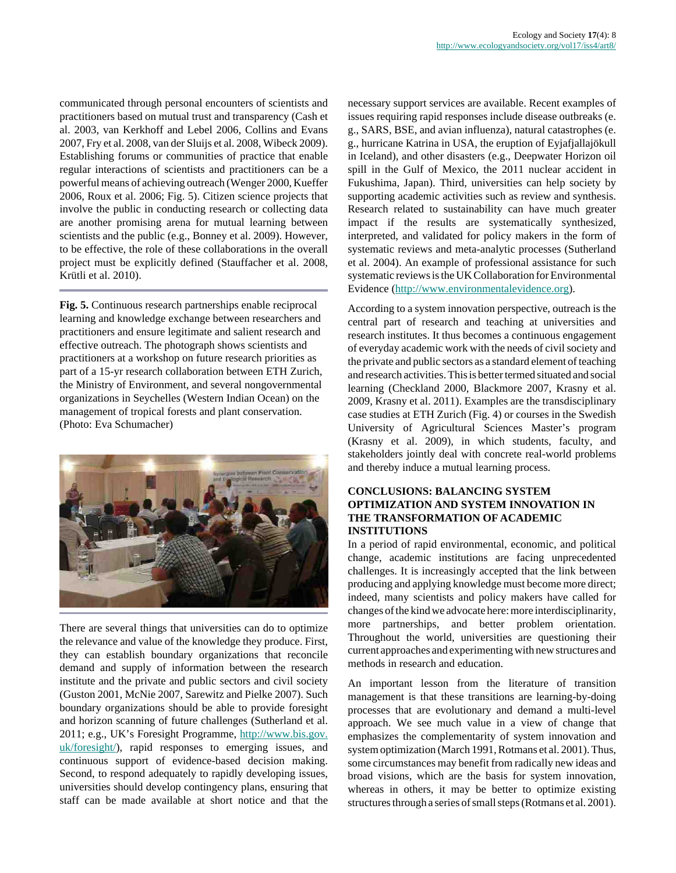communicated through personal encounters of scientists and practitioners based on mutual trust and transparency (Cash et al. 2003, van Kerkhoff and Lebel 2006, Collins and Evans 2007, Fry et al. 2008, van der Sluijs et al. 2008, Wibeck 2009). Establishing forums or communities of practice that enable regular interactions of scientists and practitioners can be a powerful means of achieving outreach (Wenger 2000, Kueffer 2006, Roux et al. 2006; Fig. 5). Citizen science projects that involve the public in conducting research or collecting data are another promising arena for mutual learning between scientists and the public (e.g., Bonney et al. 2009). However, to be effective, the role of these collaborations in the overall project must be explicitly defined (Stauffacher et al. 2008, Krütli et al. 2010).

**Fig. 5.** Continuous research partnerships enable reciprocal learning and knowledge exchange between researchers and practitioners and ensure legitimate and salient research and effective outreach. The photograph shows scientists and practitioners at a workshop on future research priorities as part of a 15-yr research collaboration between ETH Zurich, the Ministry of Environment, and several nongovernmental organizations in Seychelles (Western Indian Ocean) on the management of tropical forests and plant conservation. (Photo: Eva Schumacher)



There are several things that universities can do to optimize the relevance and value of the knowledge they produce. First, they can establish boundary organizations that reconcile demand and supply of information between the research institute and the private and public sectors and civil society (Guston 2001, McNie 2007, Sarewitz and Pielke 2007). Such boundary organizations should be able to provide foresight and horizon scanning of future challenges (Sutherland et al. 2011; e.g., UK's Foresight Programme, [http://www.bis.gov.](http://www.bis.gov.uk/foresight/) [uk/foresight/](http://www.bis.gov.uk/foresight/)), rapid responses to emerging issues, and continuous support of evidence-based decision making. Second, to respond adequately to rapidly developing issues, universities should develop contingency plans, ensuring that staff can be made available at short notice and that the necessary support services are available. Recent examples of issues requiring rapid responses include disease outbreaks (e. g., SARS, BSE, and avian influenza), natural catastrophes (e. g., hurricane Katrina in USA, the eruption of Eyjafjallajökull in Iceland), and other disasters (e.g., Deepwater Horizon oil spill in the Gulf of Mexico, the 2011 nuclear accident in Fukushima, Japan). Third, universities can help society by supporting academic activities such as review and synthesis. Research related to sustainability can have much greater impact if the results are systematically synthesized, interpreted, and validated for policy makers in the form of systematic reviews and meta-analytic processes (Sutherland et al. 2004). An example of professional assistance for such systematic reviews is the UK Collaboration for Environmental Evidence [\(http://www.environmentalevidence.org](http://www.environmentalevidence.org)).

According to a system innovation perspective, outreach is the central part of research and teaching at universities and research institutes. It thus becomes a continuous engagement of everyday academic work with the needs of civil society and the private and public sectors as a standard element of teaching and research activities. This is better termed situated and social learning (Checkland 2000, Blackmore 2007, Krasny et al. 2009, Krasny et al. 2011). Examples are the transdisciplinary case studies at ETH Zurich (Fig. 4) or courses in the Swedish University of Agricultural Sciences Master's program (Krasny et al. 2009), in which students, faculty, and stakeholders jointly deal with concrete real-world problems and thereby induce a mutual learning process.

## **CONCLUSIONS: BALANCING SYSTEM OPTIMIZATION AND SYSTEM INNOVATION IN THE TRANSFORMATION OF ACADEMIC INSTITUTIONS**

In a period of rapid environmental, economic, and political change, academic institutions are facing unprecedented challenges. It is increasingly accepted that the link between producing and applying knowledge must become more direct; indeed, many scientists and policy makers have called for changes of the kind we advocate here: more interdisciplinarity, more partnerships, and better problem orientation. Throughout the world, universities are questioning their current approaches and experimenting with new structures and methods in research and education.

An important lesson from the literature of transition management is that these transitions are learning-by-doing processes that are evolutionary and demand a multi-level approach. We see much value in a view of change that emphasizes the complementarity of system innovation and system optimization (March 1991, Rotmans et al. 2001). Thus, some circumstances may benefit from radically new ideas and broad visions, which are the basis for system innovation, whereas in others, it may be better to optimize existing structures through a series of small steps (Rotmans et al. 2001).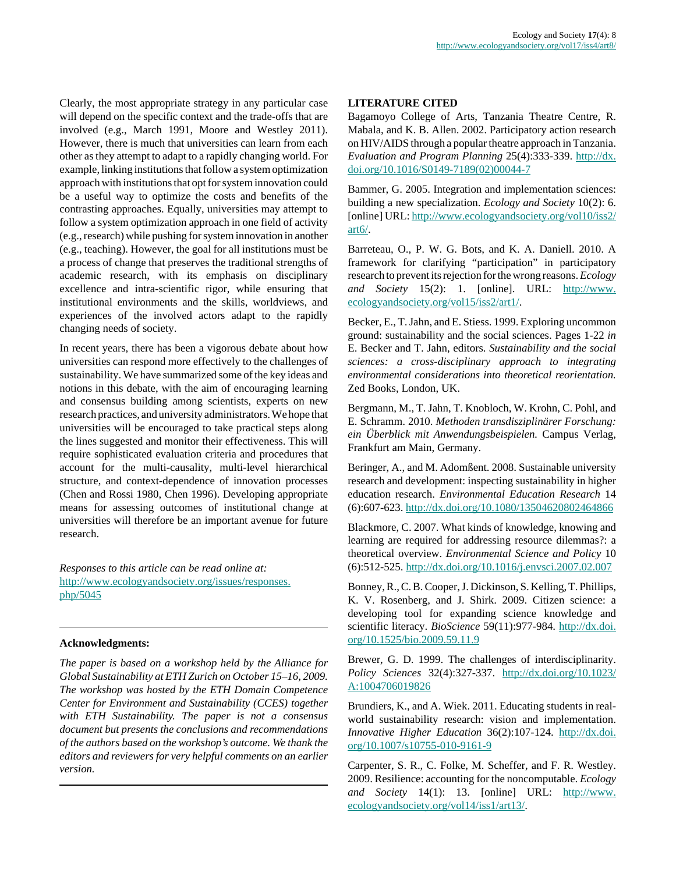Clearly, the most appropriate strategy in any particular case will depend on the specific context and the trade-offs that are involved (e.g., March 1991, Moore and Westley 2011). However, there is much that universities can learn from each other as they attempt to adapt to a rapidly changing world. For example, linking institutions that follow a system optimization approach with institutions that opt for system innovation could be a useful way to optimize the costs and benefits of the contrasting approaches. Equally, universities may attempt to follow a system optimization approach in one field of activity (e.g., research) while pushing for system innovation in another (e.g., teaching). However, the goal for all institutions must be a process of change that preserves the traditional strengths of academic research, with its emphasis on disciplinary excellence and intra-scientific rigor, while ensuring that institutional environments and the skills, worldviews, and experiences of the involved actors adapt to the rapidly changing needs of society.

In recent years, there has been a vigorous debate about how universities can respond more effectively to the challenges of sustainability. We have summarized some of the key ideas and notions in this debate, with the aim of encouraging learning and consensus building among scientists, experts on new research practices, and university administrators. We hope that universities will be encouraged to take practical steps along the lines suggested and monitor their effectiveness. This will require sophisticated evaluation criteria and procedures that account for the multi-causality, multi-level hierarchical structure, and context-dependence of innovation processes (Chen and Rossi 1980, Chen 1996). Developing appropriate means for assessing outcomes of institutional change at universities will therefore be an important avenue for future research.

*Responses to this article can be read online at:* [http://www.ecologyandsociety.org/issues/responses.](http://www.ecologyandsociety.org/issues/responses.php/5045) [php/5045](http://www.ecologyandsociety.org/issues/responses.php/5045)

# **Acknowledgments:**

*The paper is based on a workshop held by the Alliance for Global Sustainability at ETH Zurich on October 15–16, 2009. The workshop was hosted by the ETH Domain Competence Center for Environment and Sustainability (CCES) together with ETH Sustainability. The paper is not a consensus document but presents the conclusions and recommendations of the authors based on the workshop's outcome. We thank the editors and reviewers for very helpful comments on an earlier version.*

# **LITERATURE CITED**

Bagamoyo College of Arts, Tanzania Theatre Centre, R. Mabala, and K. B. Allen. 2002. Participatory action research on HIV/AIDS through a popular theatre approach in Tanzania. *Evaluation and Program Planning* 25(4):333-339. [http://dx.](http://dx.doi.org/10.1016/S0149-7189(02)00044-7) [doi.org/10.1016/S0149-7189\(02\)00044-7](http://dx.doi.org/10.1016/S0149-7189(02)00044-7)

Bammer, G. 2005. Integration and implementation sciences: building a new specialization. *Ecology and Society* 10(2): 6. [online] URL: [http://www.ecologyandsociety.org/vol10/iss2/](http://www.ecologyandsociety.org/vol10/iss2/art6/) [art6/](http://www.ecologyandsociety.org/vol10/iss2/art6/).

Barreteau, O., P. W. G. Bots, and K. A. Daniell. 2010. A framework for clarifying "participation" in participatory research to prevent its rejection for the wrong reasons. *Ecology and Society* 15(2): 1. [online]. URL: [http://www.](http://www.ecologyandsociety.org/vol15/iss2/art1/) [ecologyandsociety.org/vol15/iss2/art1/](http://www.ecologyandsociety.org/vol15/iss2/art1/).

Becker, E., T. Jahn, and E. Stiess. 1999. Exploring uncommon ground: sustainability and the social sciences. Pages 1-22 *in* E. Becker and T. Jahn, editors. *Sustainability and the social sciences: a cross-disciplinary approach to integrating environmental considerations into theoretical reorientation.* Zed Books, London, UK.

Bergmann, M., T. Jahn, T. Knobloch, W. Krohn, C. Pohl, and E. Schramm. 2010. *Methoden transdisziplinärer Forschung: ein Überblick mit Anwendungsbeispielen.* Campus Verlag, Frankfurt am Main, Germany.

Beringer, A., and M. Adomßent. 2008. Sustainable university research and development: inspecting sustainability in higher education research. *Environmental Education Research* 14 (6):607-623.<http://dx.doi.org/10.1080/13504620802464866>

Blackmore, C. 2007. What kinds of knowledge, knowing and learning are required for addressing resource dilemmas?: a theoretical overview. *Environmental Science and Policy* 10 (6):512-525. <http://dx.doi.org/10.1016/j.envsci.2007.02.007>

Bonney, R., C. B. Cooper, J. Dickinson, S. Kelling, T. Phillips, K. V. Rosenberg, and J. Shirk. 2009. Citizen science: a developing tool for expanding science knowledge and scientific literacy. *BioScience* 59(11):977-984. [http://dx.doi.](http://dx.doi.org/10.1525/bio.2009.59.11.9) [org/10.1525/bio.2009.59.11.9](http://dx.doi.org/10.1525/bio.2009.59.11.9)

Brewer, G. D. 1999. The challenges of interdisciplinarity. *Policy Sciences* 32(4):327-337. [http://dx.doi.org/10.1023/](http://dx.doi.org/10.1023/A:1004706019826) [A:1004706019826](http://dx.doi.org/10.1023/A:1004706019826)

Brundiers, K., and A. Wiek. 2011. Educating students in realworld sustainability research: vision and implementation. *Innovative Higher Education* 36(2):107-124. [http://dx.doi.](http://dx.doi.org/10.1007/s10755-010-9161-9) [org/10.1007/s10755-010-9161-9](http://dx.doi.org/10.1007/s10755-010-9161-9)

Carpenter, S. R., C. Folke, M. Scheffer, and F. R. Westley. 2009. Resilience: accounting for the noncomputable. *Ecology and Society* 14(1): 13. [online] URL: [http://www.](http://www.ecologyandsociety.org/vol14/iss1/art13/) [ecologyandsociety.org/vol14/iss1/art13/](http://www.ecologyandsociety.org/vol14/iss1/art13/).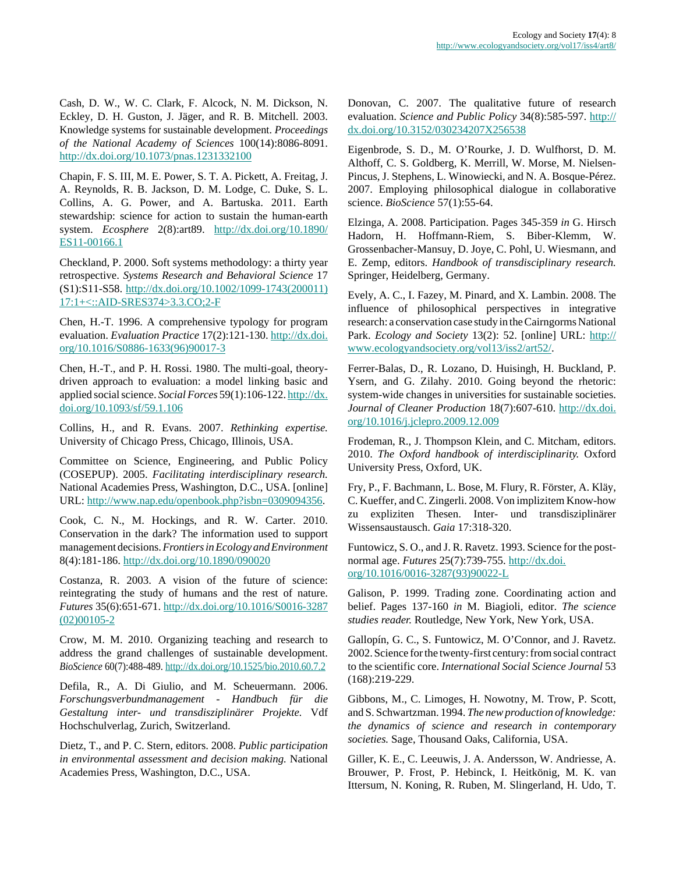Cash, D. W., W. C. Clark, F. Alcock, N. M. Dickson, N. Eckley, D. H. Guston, J. Jäger, and R. B. Mitchell. 2003. Knowledge systems for sustainable development. *Proceedings of the National Academy of Sciences* 100(14):8086-8091. <http://dx.doi.org/10.1073/pnas.1231332100>

Chapin, F. S. III, M. E. Power, S. T. A. Pickett, A. Freitag, J. A. Reynolds, R. B. Jackson, D. M. Lodge, C. Duke, S. L. Collins, A. G. Power, and A. Bartuska. 2011. Earth stewardship: science for action to sustain the human-earth system. *Ecosphere* 2(8):art89. [http://dx.doi.org/10.1890/](http://dx.doi.org/10.1890/ES11-00166.1) [ES11-00166.1](http://dx.doi.org/10.1890/ES11-00166.1)

Checkland, P. 2000. Soft systems methodology: a thirty year retrospective. *Systems Research and Behavioral Science* 17 (S1):S11-S58. [http://dx.doi.org/10.1002/1099-1743\(200011\)](http://dx.doi.org/10.1002/1099-1743(200011)17:1+<::AID-SRES374>3.3.CO;2-F) [17:1+<::AID-SRES374>3.3.CO;2-F](http://dx.doi.org/10.1002/1099-1743(200011)17:1+<::AID-SRES374>3.3.CO;2-F)

Chen, H.-T. 1996. A comprehensive typology for program evaluation. *Evaluation Practice* 17(2):121-130. [http://dx.doi.](http://dx.doi.org/10.1016/S0886-1633(96)90017-3) [org/10.1016/S0886-1633\(96\)90017-3](http://dx.doi.org/10.1016/S0886-1633(96)90017-3)

Chen, H.-T., and P. H. Rossi. 1980. The multi-goal, theorydriven approach to evaluation: a model linking basic and applied social science. *Social Forces* 59(1):106-122. [http://dx.](http://dx.doi.org/10.1093/sf/59.1.106) [doi.org/10.1093/sf/59.1.106](http://dx.doi.org/10.1093/sf/59.1.106)

Collins, H., and R. Evans. 2007. *Rethinking expertise.* University of Chicago Press, Chicago, Illinois, USA.

Committee on Science, Engineering, and Public Policy (COSEPUP). 2005. *Facilitating interdisciplinary research.* National Academies Press, Washington, D.C., USA. [online] URL: <http://www.nap.edu/openbook.php?isbn=0309094356>.

Cook, C. N., M. Hockings, and R. W. Carter. 2010. Conservation in the dark? The information used to support management decisions. *Frontiers in Ecology and Environment* 8(4):181-186. <http://dx.doi.org/10.1890/090020>

Costanza, R. 2003. A vision of the future of science: reintegrating the study of humans and the rest of nature. *Futures* 35(6):651-671. [http://dx.doi.org/10.1016/S0016-3287](http://dx.doi.org/10.1016/S0016-3287(02)00105-2) [\(02\)00105-2](http://dx.doi.org/10.1016/S0016-3287(02)00105-2)

Crow, M. M. 2010. Organizing teaching and research to address the grand challenges of sustainable development. *BioScience* 60(7):488-489. <http://dx.doi.org/10.1525/bio.2010.60.7.2>

Defila, R., A. Di Giulio, and M. Scheuermann. 2006. *Forschungsverbundmanagement - Handbuch für die Gestaltung inter- und transdisziplinärer Projekte.* Vdf Hochschulverlag, Zurich, Switzerland.

Dietz, T., and P. C. Stern, editors. 2008. *Public participation in environmental assessment and decision making.* National Academies Press, Washington, D.C., USA.

Donovan, C. 2007. The qualitative future of research evaluation. *Science and Public Policy* 34(8):585-597. [http://](http://dx.doi.org/10.3152/030234207X256538) [dx.doi.org/10.3152/030234207X256538](http://dx.doi.org/10.3152/030234207X256538)

Eigenbrode, S. D., M. O'Rourke, J. D. Wulfhorst, D. M. Althoff, C. S. Goldberg, K. Merrill, W. Morse, M. Nielsen-Pincus, J. Stephens, L. Winowiecki, and N. A. Bosque-Pérez. 2007. Employing philosophical dialogue in collaborative science. *BioScience* 57(1):55-64.

Elzinga, A. 2008. Participation. Pages 345-359 *in* G. Hirsch Hadorn, H. Hoffmann-Riem, S. Biber-Klemm, W. Grossenbacher-Mansuy, D. Joye, C. Pohl, U. Wiesmann, and E. Zemp, editors. *Handbook of transdisciplinary research.* Springer, Heidelberg, Germany.

Evely, A. C., I. Fazey, M. Pinard, and X. Lambin. 2008. The influence of philosophical perspectives in integrative research: a conservation case study in the Cairngorms National Park. *Ecology and Society* 13(2): 52. [online] URL: [http://](http://www.ecologyandsociety.org/vol13/iss2/art52/) [www.ecologyandsociety.org/vol13/iss2/art52/](http://www.ecologyandsociety.org/vol13/iss2/art52/).

Ferrer-Balas, D., R. Lozano, D. Huisingh, H. Buckland, P. Ysern, and G. Zilahy. 2010. Going beyond the rhetoric: system-wide changes in universities for sustainable societies. *Journal of Cleaner Production* 18(7):607-610. [http://dx.doi.](http://dx.doi.org/10.1016/j.jclepro.2009.12.009) [org/10.1016/j.jclepro.2009.12.009](http://dx.doi.org/10.1016/j.jclepro.2009.12.009)

Frodeman, R., J. Thompson Klein, and C. Mitcham, editors. 2010. *The Oxford handbook of interdisciplinarity.* Oxford University Press, Oxford, UK.

Fry, P., F. Bachmann, L. Bose, M. Flury, R. Förster, A. Kläy, C. Kueffer, and C. Zingerli. 2008. Von implizitem Know-how zu expliziten Thesen. Inter- und transdisziplinärer Wissensaustausch. *Gaia* 17:318-320.

Funtowicz, S. O., and J. R. Ravetz. 1993. Science for the postnormal age. *Futures* 25(7):739-755. [http://dx.doi.](http://dx.doi.org/10.1016/0016-3287(93)90022-L) [org/10.1016/0016-3287\(93\)90022-L](http://dx.doi.org/10.1016/0016-3287(93)90022-L)

Galison, P. 1999. Trading zone. Coordinating action and belief. Pages 137-160 *in* M. Biagioli, editor. *The science studies reader.* Routledge, New York, New York, USA.

Gallopín, G. C., S. Funtowicz, M. O'Connor, and J. Ravetz. 2002. Science for the twenty-first century: from social contract to the scientific core. *International Social Science Journal* 53 (168):219-229.

Gibbons, M., C. Limoges, H. Nowotny, M. Trow, P. Scott, and S. Schwartzman. 1994. *The new production of knowledge: the dynamics of science and research in contemporary societies.* Sage, Thousand Oaks, California, USA.

Giller, K. E., C. Leeuwis, J. A. Andersson, W. Andriesse, A. Brouwer, P. Frost, P. Hebinck, I. Heitkönig, M. K. van Ittersum, N. Koning, R. Ruben, M. Slingerland, H. Udo, T.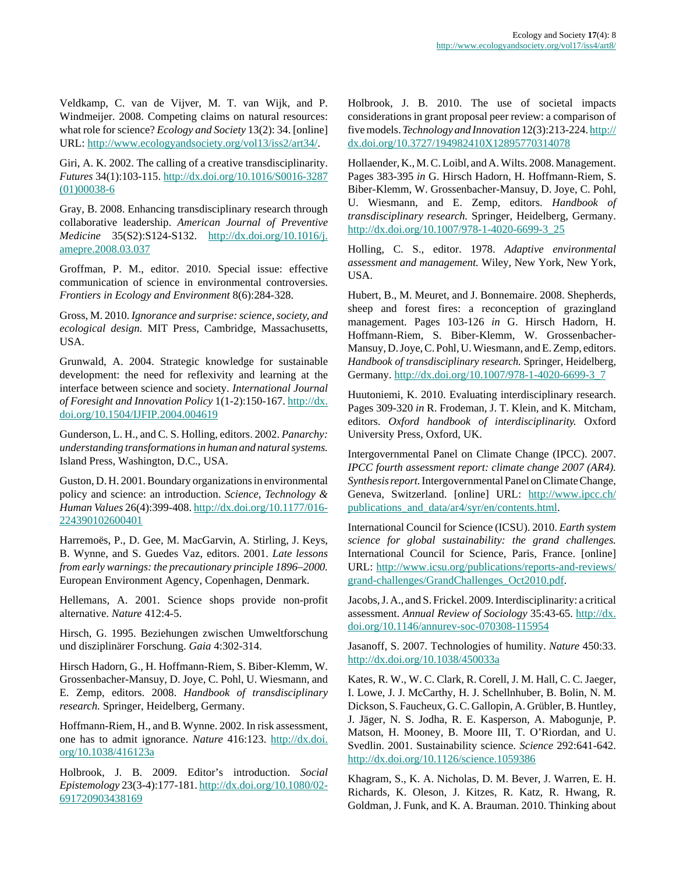Veldkamp, C. van de Vijver, M. T. van Wijk, and P. Windmeijer. 2008. Competing claims on natural resources: what role for science? *Ecology and Society* 13(2): 34. [online] URL: [http://www.ecologyandsociety.org/vol13/iss2/art34/.](http://www.ecologyandsociety.org/vol13/iss2/art34/)

Giri, A. K. 2002. The calling of a creative transdisciplinarity. *Futures* 34(1):103-115. [http://dx.doi.org/10.1016/S0016-3287](http://dx.doi.org/10.1016/S0016-3287(01)00038-6) [\(01\)00038-6](http://dx.doi.org/10.1016/S0016-3287(01)00038-6)

Gray, B. 2008. Enhancing transdisciplinary research through collaborative leadership. *American Journal of Preventive Medicine* 35(S2):S124-S132. [http://dx.doi.org/10.1016/j.](http://dx.doi.org/10.1016/j.amepre.2008.03.037) [amepre.2008.03.037](http://dx.doi.org/10.1016/j.amepre.2008.03.037)

Groffman, P. M., editor. 2010. Special issue: effective communication of science in environmental controversies. *Frontiers in Ecology and Environment* 8(6):284-328.

Gross, M. 2010. *Ignorance and surprise: science, society, and ecological design.* MIT Press, Cambridge, Massachusetts, USA.

Grunwald, A. 2004. Strategic knowledge for sustainable development: the need for reflexivity and learning at the interface between science and society. *International Journal of Foresight and Innovation Policy* 1(1-2):150-167. [http://dx.](http://dx.doi.org/10.1504/IJFIP.2004.004619) [doi.org/10.1504/IJFIP.2004.004619](http://dx.doi.org/10.1504/IJFIP.2004.004619)

Gunderson, L. H., and C. S. Holling, editors. 2002. *Panarchy: understanding transformations in human and natural systems.* Island Press, Washington, D.C., USA.

Guston, D. H. 2001. Boundary organizations in environmental policy and science: an introduction. *Science, Technology & Human Values* 26(4):399-408. [http://dx.doi.org/10.1177/016-](http://dx.doi.org/10.1177/016224390102600401) [224390102600401](http://dx.doi.org/10.1177/016224390102600401)

Harremoës, P., D. Gee, M. MacGarvin, A. Stirling, J. Keys, B. Wynne, and S. Guedes Vaz, editors. 2001. *Late lessons from early warnings: the precautionary principle 1896–2000.* European Environment Agency, Copenhagen, Denmark.

Hellemans, A. 2001. Science shops provide non-profit alternative. *Nature* 412:4-5.

Hirsch, G. 1995. Beziehungen zwischen Umweltforschung und disziplinärer Forschung. *Gaia* 4:302-314.

Hirsch Hadorn, G., H. Hoffmann-Riem, S. Biber-Klemm, W. Grossenbacher-Mansuy, D. Joye, C. Pohl, U. Wiesmann, and E. Zemp, editors. 2008. *Handbook of transdisciplinary research.* Springer, Heidelberg, Germany.

Hoffmann-Riem, H., and B. Wynne. 2002. In risk assessment, one has to admit ignorance. *Nature* 416:123. [http://dx.doi.](http://dx.doi.org/10.1038/416123a) [org/10.1038/416123a](http://dx.doi.org/10.1038/416123a)

Holbrook, J. B. 2009. Editor's introduction. *Social Epistemology* 23(3-4):177-181. [http://dx.doi.org/10.1080/02-](http://dx.doi.org/10.1080/02691720903438169) [691720903438169](http://dx.doi.org/10.1080/02691720903438169)

Holbrook, J. B. 2010. The use of societal impacts considerations in grant proposal peer review: a comparison of five models. *Technology and Innovation* 12(3):213-224. [http://](http://dx.doi.org/10.3727/194982410X12895770314078) [dx.doi.org/10.3727/194982410X12895770314078](http://dx.doi.org/10.3727/194982410X12895770314078)

Hollaender, K., M. C. Loibl, and A. Wilts. 2008. Management. Pages 383-395 *in* G. Hirsch Hadorn, H. Hoffmann-Riem, S. Biber-Klemm, W. Grossenbacher-Mansuy, D. Joye, C. Pohl, U. Wiesmann, and E. Zemp, editors. *Handbook of transdisciplinary research.* Springer, Heidelberg, Germany. [http://dx.doi.org/10.1007/978-1-4020-6699-3\\_25](http://dx.doi.org/10.1007/978-1-4020-6699-3_25)

Holling, C. S., editor. 1978. *Adaptive environmental assessment and management.* Wiley, New York, New York, USA.

Hubert, B., M. Meuret, and J. Bonnemaire. 2008. Shepherds, sheep and forest fires: a reconception of grazingland management. Pages 103-126 *in* G. Hirsch Hadorn, H. Hoffmann-Riem, S. Biber-Klemm, W. Grossenbacher-Mansuy, D. Joye, C. Pohl, U. Wiesmann, and E. Zemp, editors. *Handbook of transdisciplinary research.* Springer, Heidelberg, Germany. [http://dx.doi.org/10.1007/978-1-4020-6699-3\\_7](http://dx.doi.org/10.1007/978-1-4020-6699-3_7)

Huutoniemi, K. 2010. Evaluating interdisciplinary research. Pages 309-320 *in* R. Frodeman, J. T. Klein, and K. Mitcham, editors. *Oxford handbook of interdisciplinarity.* Oxford University Press, Oxford, UK.

Intergovernmental Panel on Climate Change (IPCC). 2007. *IPCC fourth assessment report: climate change 2007 (AR4). Synthesis report.* Intergovernmental Panel on Climate Change, Geneva, Switzerland. [online] URL: [http://www.ipcc.ch/](http://www.ipcc.ch/publications_and_data/ar4/syr/en/contents.html) [publications\\_and\\_data/ar4/syr/en/contents.html.](http://www.ipcc.ch/publications_and_data/ar4/syr/en/contents.html)

International Council for Science (ICSU). 2010. *Earth system science for global sustainability: the grand challenges.* International Council for Science, Paris, France. [online] URL: [http://www.icsu.org/publications/reports-and-reviews/](http://www.icsu.org/publications/reports-and-reviews/grand-challenges/GrandChallenges_Oct2010.pdf) [grand-challenges/GrandChallenges\\_Oct2010.pdf.](http://www.icsu.org/publications/reports-and-reviews/grand-challenges/GrandChallenges_Oct2010.pdf)

Jacobs, J. A., and S. Frickel. 2009. Interdisciplinarity: a critical assessment. *Annual Review of Sociology* 35:43-65. [http://dx.](http://dx.doi.org/10.1146/annurev-soc-070308-115954) [doi.org/10.1146/annurev-soc-070308-115954](http://dx.doi.org/10.1146/annurev-soc-070308-115954)

Jasanoff, S. 2007. Technologies of humility. *Nature* 450:33. <http://dx.doi.org/10.1038/450033a>

Kates, R. W., W. C. Clark, R. Corell, J. M. Hall, C. C. Jaeger, I. Lowe, J. J. McCarthy, H. J. Schellnhuber, B. Bolin, N. M. Dickson, S. Faucheux, G. C. Gallopin, A. Grübler, B. Huntley, J. Jäger, N. S. Jodha, R. E. Kasperson, A. Mabogunje, P. Matson, H. Mooney, B. Moore III, T. O'Riordan, and U. Svedlin. 2001. Sustainability science. *Science* 292:641-642. <http://dx.doi.org/10.1126/science.1059386>

Khagram, S., K. A. Nicholas, D. M. Bever, J. Warren, E. H. Richards, K. Oleson, J. Kitzes, R. Katz, R. Hwang, R. Goldman, J. Funk, and K. A. Brauman. 2010. Thinking about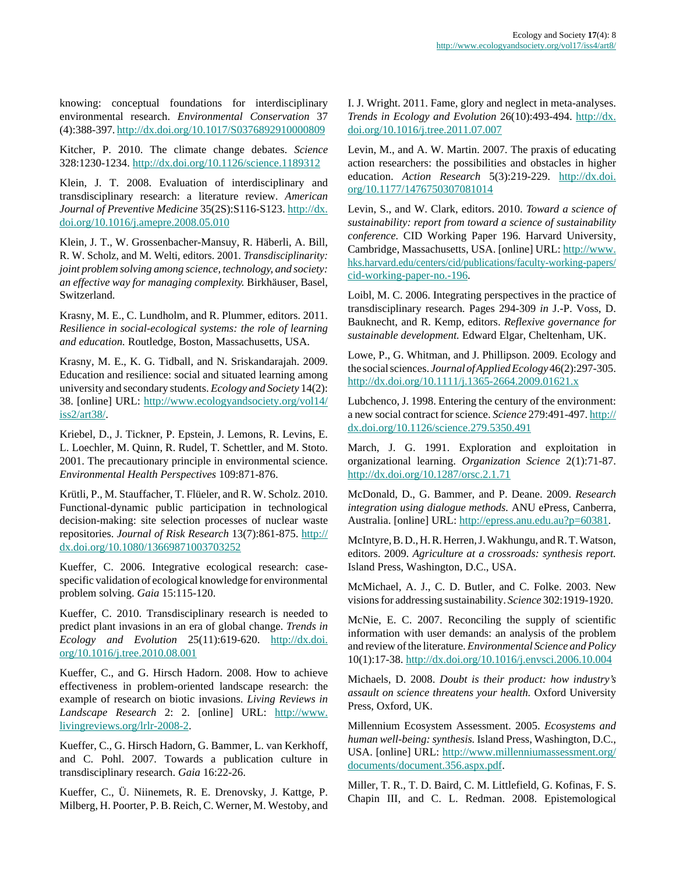knowing: conceptual foundations for interdisciplinary environmental research. *Environmental Conservation* 37 (4):388-397.<http://dx.doi.org/10.1017/S0376892910000809>

Kitcher, P. 2010. The climate change debates. *Science* 328:1230-1234.<http://dx.doi.org/10.1126/science.1189312>

Klein, J. T. 2008. Evaluation of interdisciplinary and transdisciplinary research: a literature review. *American Journal of Preventive Medicine* 35(2S):S116-S123. [http://dx.](http://dx.doi.org/10.1016/j.amepre.2008.05.010) [doi.org/10.1016/j.amepre.2008.05.010](http://dx.doi.org/10.1016/j.amepre.2008.05.010)

Klein, J. T., W. Grossenbacher-Mansuy, R. Häberli, A. Bill, R. W. Scholz, and M. Welti, editors. 2001. *Transdisciplinarity: joint problem solving among science, technology, and society: an effective way for managing complexity.* Birkhäuser, Basel, Switzerland.

Krasny, M. E., C. Lundholm, and R. Plummer, editors. 2011. *Resilience in social-ecological systems: the role of learning and education.* Routledge, Boston, Massachusetts, USA.

Krasny, M. E., K. G. Tidball, and N. Sriskandarajah. 2009. Education and resilience: social and situated learning among university and secondary students. *Ecology and Society* 14(2): 38. [online] URL: [http://www.ecologyandsociety.org/vol14/](http://www.ecologyandsociety.org/vol14/iss2/art38/) [iss2/art38/.](http://www.ecologyandsociety.org/vol14/iss2/art38/)

Kriebel, D., J. Tickner, P. Epstein, J. Lemons, R. Levins, E. L. Loechler, M. Quinn, R. Rudel, T. Schettler, and M. Stoto. 2001. The precautionary principle in environmental science. *Environmental Health Perspectives* 109:871-876.

Krütli, P., M. Stauffacher, T. Flüeler, and R. W. Scholz. 2010. Functional-dynamic public participation in technological decision-making: site selection processes of nuclear waste repositories. *Journal of Risk Research* 13(7):861-875. [http://](http://dx.doi.org/10.1080/13669871003703252) [dx.doi.org/10.1080/13669871003703252](http://dx.doi.org/10.1080/13669871003703252)

Kueffer, C. 2006. Integrative ecological research: casespecific validation of ecological knowledge for environmental problem solving. *Gaia* 15:115-120.

Kueffer, C. 2010. Transdisciplinary research is needed to predict plant invasions in an era of global change. *Trends in Ecology and Evolution* 25(11):619-620. [http://dx.doi.](http://dx.doi.org/10.1016/j.tree.2010.08.001) [org/10.1016/j.tree.2010.08.001](http://dx.doi.org/10.1016/j.tree.2010.08.001)

Kueffer, C., and G. Hirsch Hadorn. 2008. How to achieve effectiveness in problem-oriented landscape research: the example of research on biotic invasions. *Living Reviews in Landscape Research* 2: 2. [online] URL: [http://www.](http://www.livingreviews.org/lrlr-2008-2) [livingreviews.org/lrlr-2008-2.](http://www.livingreviews.org/lrlr-2008-2)

Kueffer, C., G. Hirsch Hadorn, G. Bammer, L. van Kerkhoff, and C. Pohl. 2007. Towards a publication culture in transdisciplinary research. *Gaia* 16:22-26.

Kueffer, C., Ü. Niinemets, R. E. Drenovsky, J. Kattge, P. Milberg, H. Poorter, P. B. Reich, C. Werner, M. Westoby, and I. J. Wright. 2011. Fame, glory and neglect in meta-analyses. *Trends in Ecology and Evolution* 26(10):493-494. [http://dx.](http://dx.doi.org/10.1016/j.tree.2011.07.007) [doi.org/10.1016/j.tree.2011.07.007](http://dx.doi.org/10.1016/j.tree.2011.07.007)

Levin, M., and A. W. Martin. 2007. The praxis of educating action researchers: the possibilities and obstacles in higher education. *Action Research* 5(3):219-229. [http://dx.doi.](http://dx.doi.org/10.1177/1476750307081014) [org/10.1177/1476750307081014](http://dx.doi.org/10.1177/1476750307081014)

Levin, S., and W. Clark, editors. 2010. *Toward a science of sustainability: report from toward a science of sustainability conference.* CID Working Paper 196. Harvard University, Cambridge, Massachusetts, USA. [online] URL: [http://www.](http://www.hks.harvard.edu/centers/cid/publications/faculty-working-papers/cid-working-paper-no.-196) [hks.harvard.edu/centers/cid/publications/faculty-working-papers/](http://www.hks.harvard.edu/centers/cid/publications/faculty-working-papers/cid-working-paper-no.-196) [cid-working-paper-no.-196.](http://www.hks.harvard.edu/centers/cid/publications/faculty-working-papers/cid-working-paper-no.-196)

Loibl, M. C. 2006. Integrating perspectives in the practice of transdisciplinary research. Pages 294-309 *in* J.-P. Voss, D. Bauknecht, and R. Kemp, editors. *Reflexive governance for sustainable development.* Edward Elgar, Cheltenham, UK.

Lowe, P., G. Whitman, and J. Phillipson. 2009. Ecology and the social sciences. *Journal of Applied Ecology* 46(2):297-305. <http://dx.doi.org/10.1111/j.1365-2664.2009.01621.x>

Lubchenco, J. 1998. Entering the century of the environment: a new social contract for science. *Science* 279:491-497. [http://](http://dx.doi.org/10.1126/science.279.5350.491) [dx.doi.org/10.1126/science.279.5350.491](http://dx.doi.org/10.1126/science.279.5350.491)

March, J. G. 1991. Exploration and exploitation in organizational learning. *Organization Science* 2(1):71-87. <http://dx.doi.org/10.1287/orsc.2.1.71>

McDonald, D., G. Bammer, and P. Deane. 2009. *Research integration using dialogue methods.* ANU ePress, Canberra, Australia. [online] URL: [http://epress.anu.edu.au?p=60381.](http://epress.anu.edu.au?p=60381)

McIntyre, B. D., H. R. Herren, J. Wakhungu, and R. T. Watson, editors. 2009. *Agriculture at a crossroads: synthesis report.* Island Press, Washington, D.C., USA.

McMichael, A. J., C. D. Butler, and C. Folke. 2003. New visions for addressing sustainability. *Science* 302:1919-1920.

McNie, E. C. 2007. Reconciling the supply of scientific information with user demands: an analysis of the problem and review of the literature. *Environmental Science and Policy* 10(1):17-38. <http://dx.doi.org/10.1016/j.envsci.2006.10.004>

Michaels, D. 2008. *Doubt is their product: how industry's assault on science threatens your health.* Oxford University Press, Oxford, UK.

Millennium Ecosystem Assessment. 2005. *Ecosystems and human well-being: synthesis.* Island Press, Washington, D.C., USA. [online] URL: [http://www.millenniumassessment.org/](http://www.millenniumassessment.org/documents/document.356.aspx.pdf) [documents/document.356.aspx.pdf.](http://www.millenniumassessment.org/documents/document.356.aspx.pdf)

Miller, T. R., T. D. Baird, C. M. Littlefield, G. Kofinas, F. S. Chapin III, and C. L. Redman. 2008. Epistemological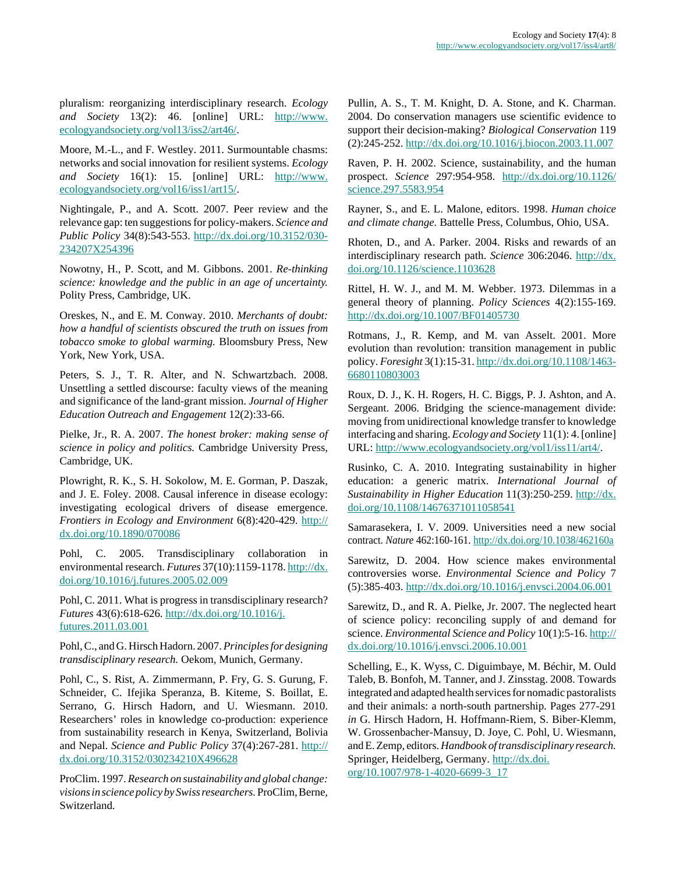pluralism: reorganizing interdisciplinary research. *Ecology and Society* 13(2): 46. [online] URL: [http://www.](http://www.ecologyandsociety.org/vol13/iss2/art46/) [ecologyandsociety.org/vol13/iss2/art46/](http://www.ecologyandsociety.org/vol13/iss2/art46/).

Moore, M.-L., and F. Westley. 2011. Surmountable chasms: networks and social innovation for resilient systems. *Ecology and Society* 16(1): 15. [online] URL: [http://www.](http://www.ecologyandsociety.org/vol16/iss1/art15/) [ecologyandsociety.org/vol16/iss1/art15/](http://www.ecologyandsociety.org/vol16/iss1/art15/).

Nightingale, P., and A. Scott. 2007. Peer review and the relevance gap: ten suggestions for policy-makers. *Science and Public Policy* 34(8):543-553. [http://dx.doi.org/10.3152/030-](http://dx.doi.org/10.3152/030234207X254396) [234207X254396](http://dx.doi.org/10.3152/030234207X254396)

Nowotny, H., P. Scott, and M. Gibbons. 2001. *Re-thinking science: knowledge and the public in an age of uncertainty.* Polity Press, Cambridge, UK.

Oreskes, N., and E. M. Conway. 2010. *Merchants of doubt: how a handful of scientists obscured the truth on issues from tobacco smoke to global warming.* Bloomsbury Press, New York, New York, USA.

Peters, S. J., T. R. Alter, and N. Schwartzbach. 2008. Unsettling a settled discourse: faculty views of the meaning and significance of the land-grant mission. *Journal of Higher Education Outreach and Engagement* 12(2):33-66.

Pielke, Jr., R. A. 2007. *The honest broker: making sense of science in policy and politics.* Cambridge University Press, Cambridge, UK.

Plowright, R. K., S. H. Sokolow, M. E. Gorman, P. Daszak, and J. E. Foley. 2008. Causal inference in disease ecology: investigating ecological drivers of disease emergence. *Frontiers in Ecology and Environment* 6(8):420-429. [http://](http://dx.doi.org/10.1890/070086) [dx.doi.org/10.1890/070086](http://dx.doi.org/10.1890/070086)

Pohl, C. 2005. Transdisciplinary collaboration in environmental research. *Futures* 37(10):1159-1178. [http://dx.](http://dx.doi.org/10.1016/j.futures.2005.02.009) [doi.org/10.1016/j.futures.2005.02.009](http://dx.doi.org/10.1016/j.futures.2005.02.009)

Pohl, C. 2011. What is progress in transdisciplinary research? *Futures* 43(6):618-626. [http://dx.doi.org/10.1016/j.](http://dx.doi.org/10.1016/j.futures.2011.03.001) [futures.2011.03.001](http://dx.doi.org/10.1016/j.futures.2011.03.001)

Pohl, C., and G. Hirsch Hadorn. 2007. *Principles for designing transdisciplinary research.* Oekom, Munich, Germany.

Pohl, C., S. Rist, A. Zimmermann, P. Fry, G. S. Gurung, F. Schneider, C. Ifejika Speranza, B. Kiteme, S. Boillat, E. Serrano, G. Hirsch Hadorn, and U. Wiesmann. 2010. Researchers' roles in knowledge co-production: experience from sustainability research in Kenya, Switzerland, Bolivia and Nepal. *Science and Public Policy* 37(4):267-281. [http://](http://dx.doi.org/10.3152/030234210X496628) [dx.doi.org/10.3152/030234210X496628](http://dx.doi.org/10.3152/030234210X496628)

ProClim. 1997. *Research on sustainability and global change: visions in science policy by Swiss researchers.* ProClim, Berne, Switzerland.

Pullin, A. S., T. M. Knight, D. A. Stone, and K. Charman. 2004. Do conservation managers use scientific evidence to support their decision-making? *Biological Conservation* 119 (2):245-252.<http://dx.doi.org/10.1016/j.biocon.2003.11.007>

Raven, P. H. 2002. Science, sustainability, and the human prospect. *Science* 297:954-958. [http://dx.doi.org/10.1126/](http://dx.doi.org/10.1126/science.297.5583.954) [science.297.5583.954](http://dx.doi.org/10.1126/science.297.5583.954)

Rayner, S., and E. L. Malone, editors. 1998. *Human choice and climate change.* Battelle Press, Columbus, Ohio, USA.

Rhoten, D., and A. Parker. 2004. Risks and rewards of an interdisciplinary research path. *Science* 306:2046. [http://dx.](http://dx.doi.org/10.1126/science.1103628) [doi.org/10.1126/science.1103628](http://dx.doi.org/10.1126/science.1103628)

Rittel, H. W. J., and M. M. Webber. 1973. Dilemmas in a general theory of planning. *Policy Sciences* 4(2):155-169. <http://dx.doi.org/10.1007/BF01405730>

Rotmans, J., R. Kemp, and M. van Asselt. 2001. More evolution than revolution: transition management in public policy. *Foresight* 3(1):15-31. [http://dx.doi.org/10.1108/1463-](http://dx.doi.org/10.1108/14636680110803003) [6680110803003](http://dx.doi.org/10.1108/14636680110803003)

Roux, D. J., K. H. Rogers, H. C. Biggs, P. J. Ashton, and A. Sergeant. 2006. Bridging the science-management divide: moving from unidirectional knowledge transfer to knowledge interfacing and sharing. *Ecology and Society* 11(1): 4. [online] URL: [http://www.ecologyandsociety.org/vol1/iss11/art4/.](http://www.ecologyandsociety.org/vol11/iss1/art4/)

Rusinko, C. A. 2010. Integrating sustainability in higher education: a generic matrix. *International Journal of Sustainability in Higher Education* 11(3):250-259. [http://dx.](http://dx.doi.org/10.1108/14676371011058541) [doi.org/10.1108/14676371011058541](http://dx.doi.org/10.1108/14676371011058541)

Samarasekera, I. V. 2009. Universities need a new social contract. *Nature* 462:160-161. <http://dx.doi.org/10.1038/462160a>

Sarewitz, D. 2004. How science makes environmental controversies worse. *Environmental Science and Policy* 7 (5):385-403. <http://dx.doi.org/10.1016/j.envsci.2004.06.001>

Sarewitz, D., and R. A. Pielke, Jr. 2007. The neglected heart of science policy: reconciling supply of and demand for science. *Environmental Science and Policy* 10(1):5-16. [http://](http://dx.doi.org/10.1016/j.envsci.2006.10.001) [dx.doi.org/10.1016/j.envsci.2006.10.001](http://dx.doi.org/10.1016/j.envsci.2006.10.001)

Schelling, E., K. Wyss, C. Diguimbaye, M. Béchir, M. Ould Taleb, B. Bonfoh, M. Tanner, and J. Zinsstag. 2008. Towards integrated and adapted health services for nomadic pastoralists and their animals: a north-south partnership. Pages 277-291 *in* G. Hirsch Hadorn, H. Hoffmann-Riem, S. Biber-Klemm, W. Grossenbacher-Mansuy, D. Joye, C. Pohl, U. Wiesmann, and E. Zemp, editors. *Handbook of transdisciplinary research.* Springer, Heidelberg, Germany. [http://dx.doi.](http://dx.doi.org/10.1007/978-1-4020-6699-3_17) [org/10.1007/978-1-4020-6699-3\\_17](http://dx.doi.org/10.1007/978-1-4020-6699-3_17)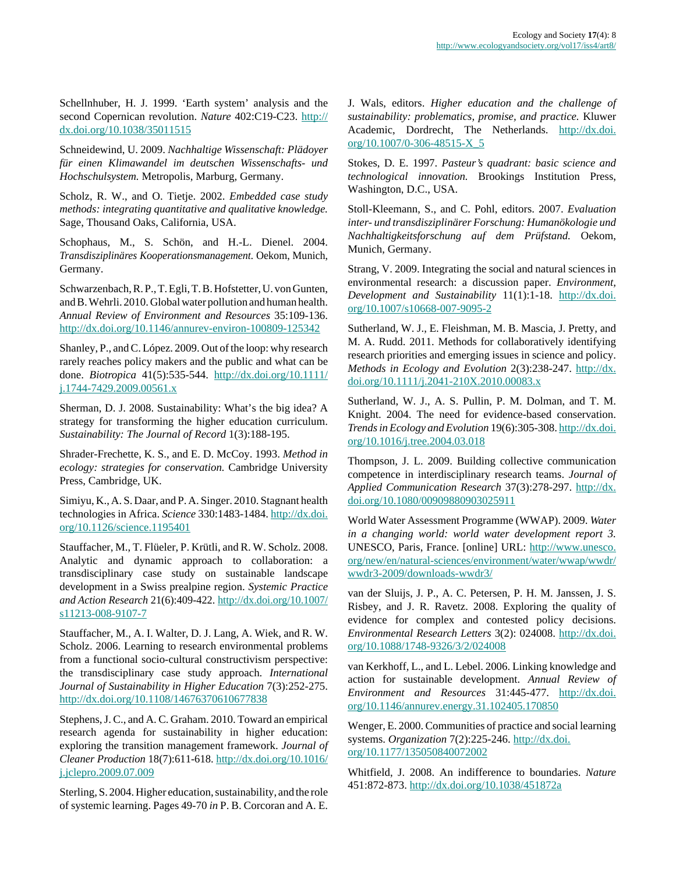Schellnhuber, H. J. 1999. 'Earth system' analysis and the second Copernican revolution. *Nature* 402:C19-C23. [http://](http://dx.doi.org/10.1038/35011515) [dx.doi.org/10.1038/35011515](http://dx.doi.org/10.1038/35011515)

Schneidewind, U. 2009. *Nachhaltige Wissenschaft: Plädoyer für einen Klimawandel im deutschen Wissenschafts- und Hochschulsystem.* Metropolis, Marburg, Germany.

Scholz, R. W., and O. Tietje. 2002. *Embedded case study methods: integrating quantitative and qualitative knowledge.* Sage, Thousand Oaks, California, USA.

Schophaus, M., S. Schön, and H.-L. Dienel. 2004. *Transdisziplinäres Kooperationsmanagement.* Oekom, Munich, Germany.

Schwarzenbach, R. P., T. Egli, T. B. Hofstetter, U. von Gunten, and B. Wehrli. 2010. Global water pollution and human health. *Annual Review of Environment and Resources* 35:109-136. <http://dx.doi.org/10.1146/annurev-environ-100809-125342>

Shanley, P., and C. López. 2009. Out of the loop: why research rarely reaches policy makers and the public and what can be done. *Biotropica* 41(5):535-544. [http://dx.doi.org/10.1111/](http://dx.doi.org/10.1111/j.1744-7429.2009.00561.x) [j.1744-7429.2009.00561.x](http://dx.doi.org/10.1111/j.1744-7429.2009.00561.x)

Sherman, D. J. 2008. Sustainability: What's the big idea? A strategy for transforming the higher education curriculum. *Sustainability: The Journal of Record* 1(3):188-195.

Shrader-Frechette, K. S., and E. D. McCoy. 1993. *Method in ecology: strategies for conservation.* Cambridge University Press, Cambridge, UK.

Simiyu, K., A. S. Daar, and P. A. Singer. 2010. Stagnant health technologies in Africa. *Science* 330:1483-1484. [http://dx.doi.](http://dx.doi.org/10.1126/science.1195401) [org/10.1126/science.1195401](http://dx.doi.org/10.1126/science.1195401)

Stauffacher, M., T. Flüeler, P. Krütli, and R. W. Scholz. 2008. Analytic and dynamic approach to collaboration: a transdisciplinary case study on sustainable landscape development in a Swiss prealpine region. *Systemic Practice and Action Research* 21(6):409-422. [http://dx.doi.org/10.1007/](http://dx.doi.org/10.1007/s11213-008-9107-7) [s11213-008-9107-7](http://dx.doi.org/10.1007/s11213-008-9107-7)

Stauffacher, M., A. I. Walter, D. J. Lang, A. Wiek, and R. W. Scholz. 2006. Learning to research environmental problems from a functional socio-cultural constructivism perspective: the transdisciplinary case study approach. *International Journal of Sustainability in Higher Education* 7(3):252-275. <http://dx.doi.org/10.1108/14676370610677838>

Stephens, J. C., and A. C. Graham. 2010. Toward an empirical research agenda for sustainability in higher education: exploring the transition management framework. *Journal of Cleaner Production* 18(7):611-618. [http://dx.doi.org/10.1016/](http://dx.doi.org/10.1016/j.jclepro.2009.07.009) [j.jclepro.2009.07.009](http://dx.doi.org/10.1016/j.jclepro.2009.07.009)

Sterling, S. 2004. Higher education, sustainability, and the role of systemic learning. Pages 49-70 *in* P. B. Corcoran and A. E. J. Wals, editors. *Higher education and the challenge of sustainability: problematics, promise, and practice.* Kluwer Academic, Dordrecht, The Netherlands. [http://dx.doi.](http://dx.doi.org/10.1007/0-306-48515-X_5) [org/10.1007/0-306-48515-X\\_5](http://dx.doi.org/10.1007/0-306-48515-X_5)

Stokes, D. E. 1997. *Pasteur's quadrant: basic science and technological innovation.* Brookings Institution Press, Washington, D.C., USA.

Stoll-Kleemann, S., and C. Pohl, editors. 2007. *Evaluation inter- und transdisziplinärer Forschung: Humanökologie und Nachhaltigkeitsforschung auf dem Prüfstand.* Oekom, Munich, Germany.

Strang, V. 2009. Integrating the social and natural sciences in environmental research: a discussion paper. *Environment, Development and Sustainability* 11(1):1-18. [http://dx.doi.](http://dx.doi.org/10.1007/s10668-007-9095-2) [org/10.1007/s10668-007-9095-2](http://dx.doi.org/10.1007/s10668-007-9095-2)

Sutherland, W. J., E. Fleishman, M. B. Mascia, J. Pretty, and M. A. Rudd. 2011. Methods for collaboratively identifying research priorities and emerging issues in science and policy. *Methods in Ecology and Evolution* 2(3):238-247. [http://dx.](http://dx.doi.org/10.1111/j.2041-210X.2010.00083.x) [doi.org/10.1111/j.2041-210X.2010.00083.x](http://dx.doi.org/10.1111/j.2041-210X.2010.00083.x)

Sutherland, W. J., A. S. Pullin, P. M. Dolman, and T. M. Knight. 2004. The need for evidence-based conservation. *Trends in Ecology and Evolution* 19(6):305-308. [http://dx.doi.](http://dx.doi.org/10.1016/j.tree.2004.03.018) [org/10.1016/j.tree.2004.03.018](http://dx.doi.org/10.1016/j.tree.2004.03.018)

Thompson, J. L. 2009. Building collective communication competence in interdisciplinary research teams. *Journal of Applied Communication Research* 37(3):278-297. [http://dx.](http://dx.doi.org/10.1080/00909880903025911) [doi.org/10.1080/00909880903025911](http://dx.doi.org/10.1080/00909880903025911)

World Water Assessment Programme (WWAP). 2009. *Water in a changing world: world water development report 3.* UNESCO, Paris, France. [online] URL: [http://www.unesco.](http://www.unesco.org/new/en/natural-sciences/environment/water/wwap/wwdr/wwdr3-2009/downloads-wwdr3/) [org/new/en/natural-sciences/environment/water/wwap/wwdr/](http://www.unesco.org/new/en/natural-sciences/environment/water/wwap/wwdr/wwdr3-2009/downloads-wwdr3/) [wwdr3-2009/downloads-wwdr3/](http://www.unesco.org/new/en/natural-sciences/environment/water/wwap/wwdr/wwdr3-2009/downloads-wwdr3/)

van der Sluijs, J. P., A. C. Petersen, P. H. M. Janssen, J. S. Risbey, and J. R. Ravetz. 2008. Exploring the quality of evidence for complex and contested policy decisions. *Environmental Research Letters* 3(2): 024008. [http://dx.doi.](http://dx.doi.org/10.1088/1748-9326/3/2/024008) [org/10.1088/1748-9326/3/2/024008](http://dx.doi.org/10.1088/1748-9326/3/2/024008)

van Kerkhoff, L., and L. Lebel. 2006. Linking knowledge and action for sustainable development. *Annual Review of Environment and Resources* 31:445-477. [http://dx.doi.](http://dx.doi.org/10.1146/annurev.energy.31.102405.170850) [org/10.1146/annurev.energy.31.102405.170850](http://dx.doi.org/10.1146/annurev.energy.31.102405.170850)

Wenger, E. 2000. Communities of practice and social learning systems. *Organization* 7(2):225-246. [http://dx.doi.](http://dx.doi.org/10.1177/135050840072002) [org/10.1177/135050840072002](http://dx.doi.org/10.1177/135050840072002)

Whitfield, J. 2008. An indifference to boundaries. *Nature* 451:872-873.<http://dx.doi.org/10.1038/451872a>